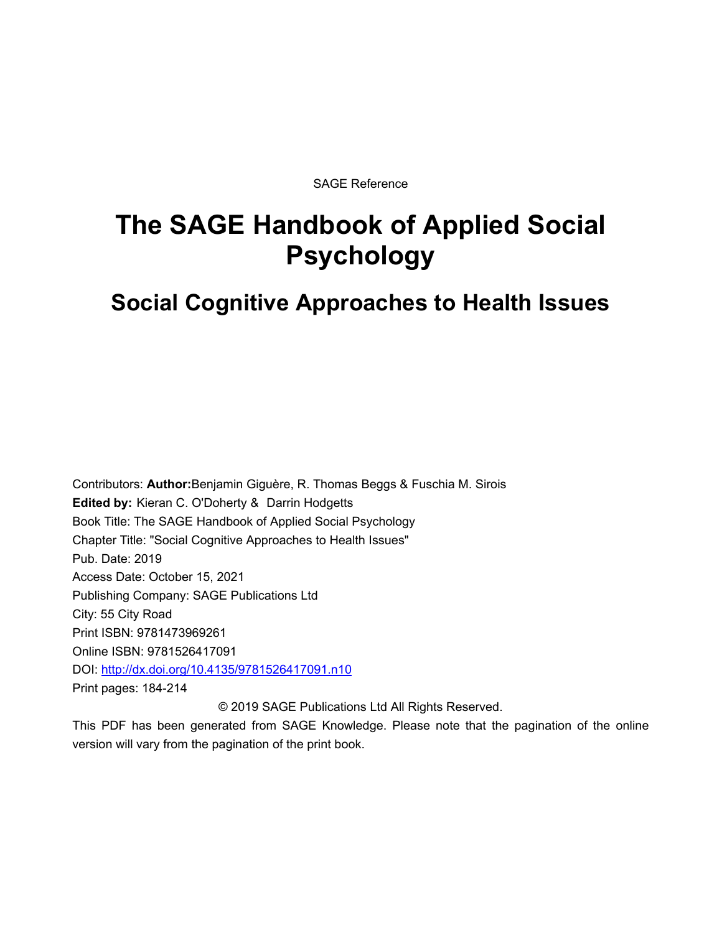SAGE Reference

# **The SAGE Handbook of Applied Social Psychology**

# **Social Cognitive Approaches to Health Issues**

Contributors: **Author:**Benjamin Giguère, R. Thomas Beggs & Fuschia M. Sirois **Edited by:** [Kieran C. O'Doherty](javascript:void(0);) & [Darrin Hodgetts](javascript:void(0);)  Book Title: The SAGE Handbook of Applied Social Psychology Chapter Title: "Social Cognitive Approaches to Health Issues" Pub. Date: 2019 Access Date: October 15, 2021 Publishing Company: SAGE Publications Ltd City: 55 City Road Print ISBN: 9781473969261 Online ISBN: 9781526417091 DOI: <http://dx.doi.org/10.4135/9781526417091.n10> Print pages: 184-214 © 2019 SAGE Publications Ltd All Rights Reserved.

This PDF has been generated from SAGE Knowledge. Please note that the pagination of the online version will vary from the pagination of the print book.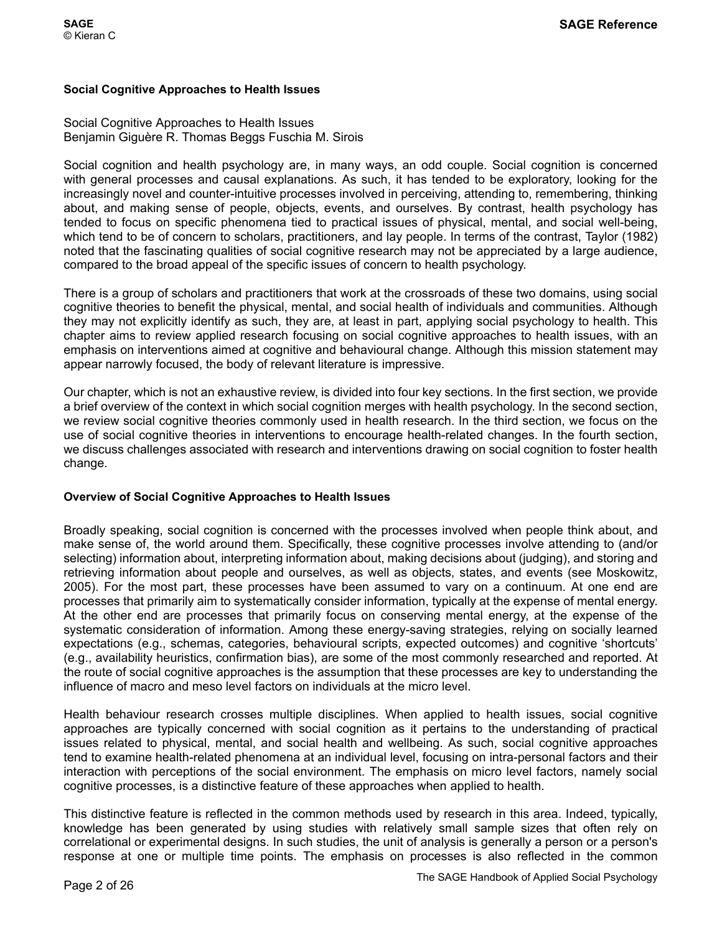# **Social Cognitive Approaches to Health Issues**

Social Cognitive Approaches to Health Issues Benjamin Giguère R. Thomas Beggs Fuschia M. Sirois

Social cognition and health psychology are, in many ways, an odd couple. Social cognition is concerned with general processes and causal explanations. As such, it has tended to be exploratory, looking for the increasingly novel and counter-intuitive processes involved in perceiving, attending to, remembering, thinking about, and making sense of people, objects, events, and ourselves. By contrast, health psychology has tended to focus on specific phenomena tied to practical issues of physical, mental, and social well-being, which tend to be of concern to scholars, practitioners, and lay people. In terms of the contrast, Taylor (1982) noted that the fascinating qualities of social cognitive research may not be appreciated by a large audience, compared to the broad appeal of the specific issues of concern to health psychology.

There is a group of scholars and practitioners that work at the crossroads of these two domains, using social cognitive theories to benefit the physical, mental, and social health of individuals and communities. Although they may not explicitly identify as such, they are, at least in part, applying social psychology to health. This chapter aims to review applied research focusing on social cognitive approaches to health issues, with an emphasis on interventions aimed at cognitive and behavioural change. Although this mission statement may appear narrowly focused, the body of relevant literature is impressive.

Our chapter, which is not an exhaustive review, is divided into four key sections. In the first section, we provide a brief overview of the context in which social cognition merges with health psychology. In the second section, we review social cognitive theories commonly used in health research. In the third section, we focus on the use of social cognitive theories in interventions to encourage health-related changes. In the fourth section, we discuss challenges associated with research and interventions drawing on social cognition to foster health change.

### **Overview of Social Cognitive Approaches to Health Issues**

Broadly speaking, social cognition is concerned with the processes involved when people think about, and make sense of, the world around them. Specifically, these cognitive processes involve attending to (and/or selecting) information about, interpreting information about, making decisions about (judging), and storing and retrieving information about people and ourselves, as well as objects, states, and events (see Moskowitz, 2005). For the most part, these processes have been assumed to vary on a continuum. At one end are processes that primarily aim to systematically consider information, typically at the expense of mental energy. At the other end are processes that primarily focus on conserving mental energy, at the expense of the systematic consideration of information. Among these energy-saving strategies, relying on socially learned expectations (e.g., schemas, categories, behavioural scripts, expected outcomes) and cognitive 'shortcuts' (e.g., availability heuristics, confirmation bias), are some of the most commonly researched and reported. At the route of social cognitive approaches is the assumption that these processes are key to understanding the influence of macro and meso level factors on individuals at the micro level.

Health behaviour research crosses multiple disciplines. When applied to health issues, social cognitive approaches are typically concerned with social cognition as it pertains to the understanding of practical issues related to physical, mental, and social health and wellbeing. As such, social cognitive approaches tend to examine health-related phenomena at an individual level, focusing on intra-personal factors and their interaction with perceptions of the social environment. The emphasis on micro level factors, namely social cognitive processes, is a distinctive feature of these approaches when applied to health.

This distinctive feature is reflected in the common methods used by research in this area. Indeed, typically, knowledge has been generated by using studies with relatively small sample sizes that often rely on correlational or experimental designs. In such studies, the unit of analysis is generally a person or a person's response at one or multiple time points. The emphasis on processes is also reflected in the common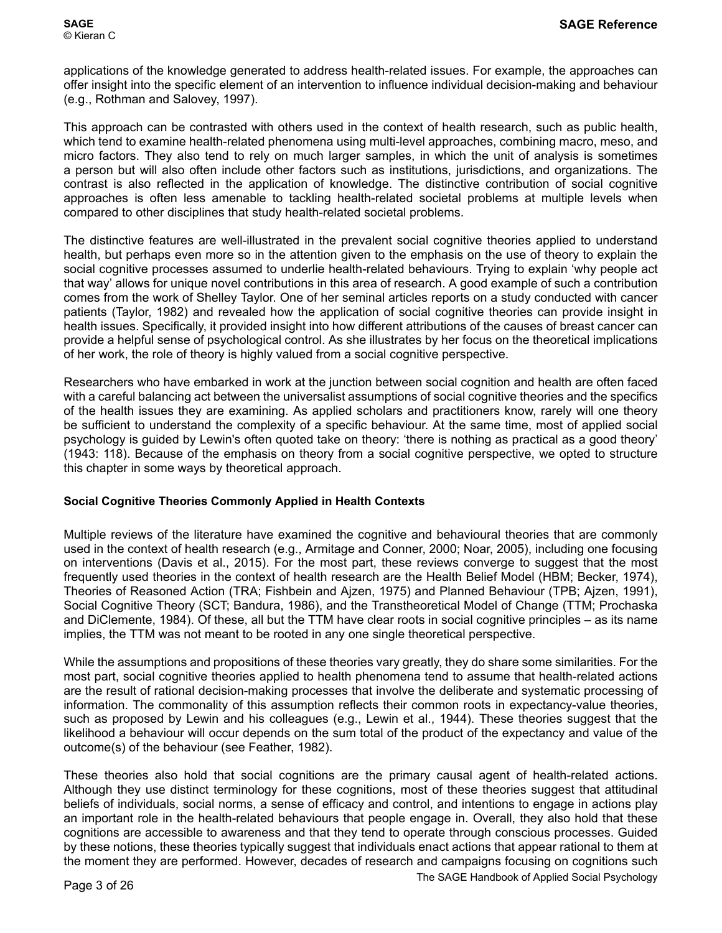applications of the knowledge generated to address health-related issues. For example, the approaches can offer insight into the specific element of an intervention to influence individual decision-making and behaviour (e.g., Rothman and Salovey, 1997).

This approach can be contrasted with others used in the context of health research, such as public health, which tend to examine health-related phenomena using multi-level approaches, combining macro, meso, and micro factors. They also tend to rely on much larger samples, in which the unit of analysis is sometimes a person but will also often include other factors such as institutions, jurisdictions, and organizations. The contrast is also reflected in the application of knowledge. The distinctive contribution of social cognitive approaches is often less amenable to tackling health-related societal problems at multiple levels when compared to other disciplines that study health-related societal problems.

The distinctive features are well-illustrated in the prevalent social cognitive theories applied to understand health, but perhaps even more so in the attention given to the emphasis on the use of theory to explain the social cognitive processes assumed to underlie health-related behaviours. Trying to explain 'why people act that way' allows for unique novel contributions in this area of research. A good example of such a contribution comes from the work of Shelley Taylor. One of her seminal articles reports on a study conducted with cancer patients (Taylor, 1982) and revealed how the application of social cognitive theories can provide insight in health issues. Specifically, it provided insight into how different attributions of the causes of breast cancer can provide a helpful sense of psychological control. As she illustrates by her focus on the theoretical implications of her work, the role of theory is highly valued from a social cognitive perspective.

Researchers who have embarked in work at the junction between social cognition and health are often faced with a careful balancing act between the universalist assumptions of social cognitive theories and the specifics of the health issues they are examining. As applied scholars and practitioners know, rarely will one theory be sufficient to understand the complexity of a specific behaviour. At the same time, most of applied social psychology is guided by Lewin's often quoted take on theory: 'there is nothing as practical as a good theory' (1943: 118). Because of the emphasis on theory from a social cognitive perspective, we opted to structure this chapter in some ways by theoretical approach.

# **Social Cognitive Theories Commonly Applied in Health Contexts**

Multiple reviews of the literature have examined the cognitive and behavioural theories that are commonly used in the context of health research (e.g., Armitage and Conner, 2000; Noar, 2005), including one focusing on interventions (Davis et al., 2015). For the most part, these reviews converge to suggest that the most frequently used theories in the context of health research are the Health Belief Model (HBM; Becker, 1974), Theories of Reasoned Action (TRA; Fishbein and Ajzen, 1975) and Planned Behaviour (TPB; Ajzen, 1991), Social Cognitive Theory (SCT; Bandura, 1986), and the Transtheoretical Model of Change (TTM; Prochaska and DiClemente, 1984). Of these, all but the TTM have clear roots in social cognitive principles – as its name implies, the TTM was not meant to be rooted in any one single theoretical perspective.

While the assumptions and propositions of these theories vary greatly, they do share some similarities. For the most part, social cognitive theories applied to health phenomena tend to assume that health-related actions are the result of rational decision-making processes that involve the deliberate and systematic processing of information. The commonality of this assumption reflects their common roots in expectancy-value theories, such as proposed by Lewin and his colleagues (e.g., Lewin et al., 1944). These theories suggest that the likelihood a behaviour will occur depends on the sum total of the product of the expectancy and value of the outcome(s) of the behaviour (see Feather, 1982).

These theories also hold that social cognitions are the primary causal agent of health-related actions. Although they use distinct terminology for these cognitions, most of these theories suggest that attitudinal beliefs of individuals, social norms, a sense of efficacy and control, and intentions to engage in actions play an important role in the health-related behaviours that people engage in. Overall, they also hold that these cognitions are accessible to awareness and that they tend to operate through conscious processes. Guided by these notions, these theories typically suggest that individuals enact actions that appear rational to them at the moment they are performed. However, decades of research and campaigns focusing on cognitions such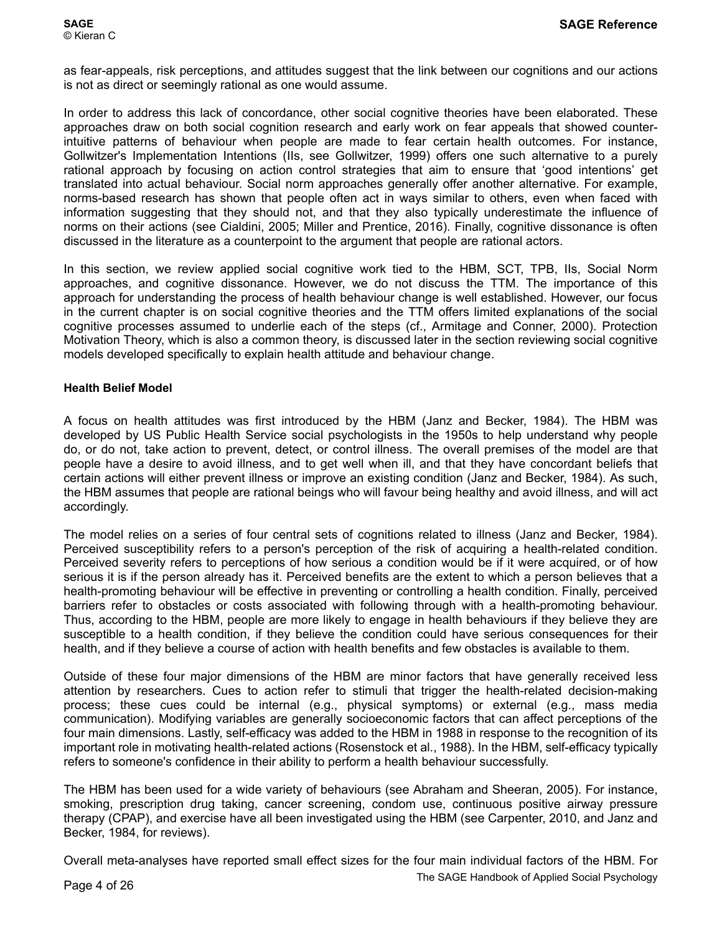as fear-appeals, risk perceptions, and attitudes suggest that the link between our cognitions and our actions is not as direct or seemingly rational as one would assume.

In order to address this lack of concordance, other social cognitive theories have been elaborated. These approaches draw on both social cognition research and early work on fear appeals that showed counterintuitive patterns of behaviour when people are made to fear certain health outcomes. For instance, Gollwitzer's Implementation Intentions (IIs, see Gollwitzer, 1999) offers one such alternative to a purely rational approach by focusing on action control strategies that aim to ensure that 'good intentions' get translated into actual behaviour. Social norm approaches generally offer another alternative. For example, norms-based research has shown that people often act in ways similar to others, even when faced with information suggesting that they should not, and that they also typically underestimate the influence of norms on their actions (see Cialdini, 2005; Miller and Prentice, 2016). Finally, cognitive dissonance is often discussed in the literature as a counterpoint to the argument that people are rational actors.

In this section, we review applied social cognitive work tied to the HBM, SCT, TPB, IIs, Social Norm approaches, and cognitive dissonance. However, we do not discuss the TTM. The importance of this approach for understanding the process of health behaviour change is well established. However, our focus in the current chapter is on social cognitive theories and the TTM offers limited explanations of the social cognitive processes assumed to underlie each of the steps (cf., Armitage and Conner, 2000). Protection Motivation Theory, which is also a common theory, is discussed later in the section reviewing social cognitive models developed specifically to explain health attitude and behaviour change.

# **Health Belief Model**

A focus on health attitudes was first introduced by the HBM (Janz and Becker, 1984). The HBM was developed by US Public Health Service social psychologists in the 1950s to help understand why people do, or do not, take action to prevent, detect, or control illness. The overall premises of the model are that people have a desire to avoid illness, and to get well when ill, and that they have concordant beliefs that certain actions will either prevent illness or improve an existing condition (Janz and Becker, 1984). As such, the HBM assumes that people are rational beings who will favour being healthy and avoid illness, and will act accordingly.

The model relies on a series of four central sets of cognitions related to illness (Janz and Becker, 1984). Perceived susceptibility refers to a person's perception of the risk of acquiring a health-related condition. Perceived severity refers to perceptions of how serious a condition would be if it were acquired, or of how serious it is if the person already has it. Perceived benefits are the extent to which a person believes that a health-promoting behaviour will be effective in preventing or controlling a health condition. Finally, perceived barriers refer to obstacles or costs associated with following through with a health-promoting behaviour. Thus, according to the HBM, people are more likely to engage in health behaviours if they believe they are susceptible to a health condition, if they believe the condition could have serious consequences for their health, and if they believe a course of action with health benefits and few obstacles is available to them.

Outside of these four major dimensions of the HBM are minor factors that have generally received less attention by researchers. Cues to action refer to stimuli that trigger the health-related decision-making process; these cues could be internal (e.g., physical symptoms) or external (e.g., mass media communication). Modifying variables are generally socioeconomic factors that can affect perceptions of the four main dimensions. Lastly, self-efficacy was added to the HBM in 1988 in response to the recognition of its important role in motivating health-related actions (Rosenstock et al., 1988). In the HBM, self-efficacy typically refers to someone's confidence in their ability to perform a health behaviour successfully.

The HBM has been used for a wide variety of behaviours (see Abraham and Sheeran, 2005). For instance, smoking, prescription drug taking, cancer screening, condom use, continuous positive airway pressure therapy (CPAP), and exercise have all been investigated using the HBM (see Carpenter, 2010, and Janz and Becker, 1984, for reviews).

Overall meta-analyses have reported small effect sizes for the four main individual factors of the HBM. For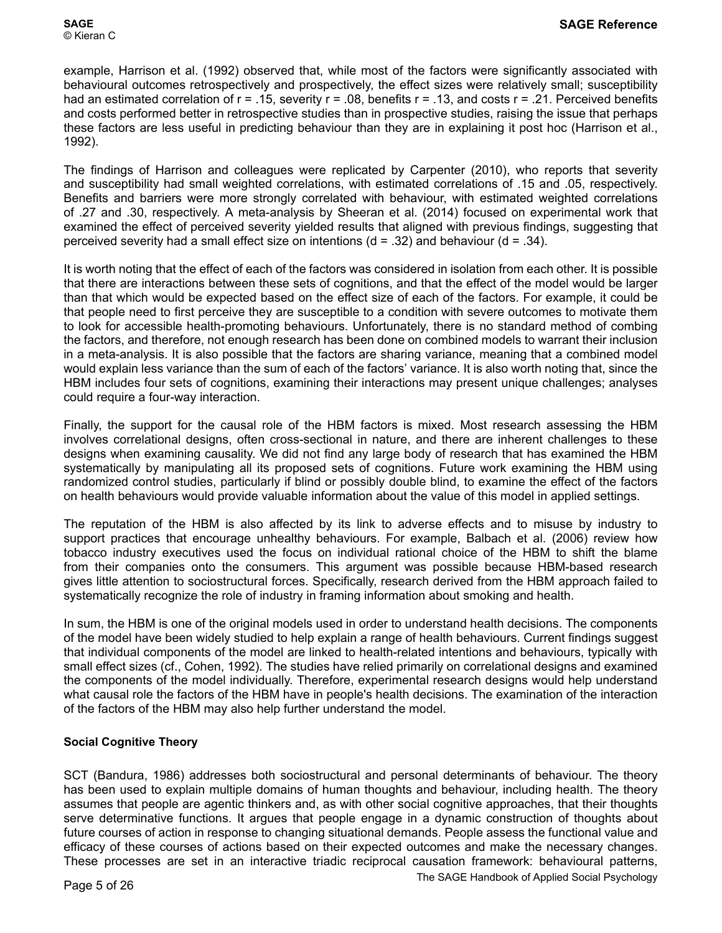example, Harrison et al. (1992) observed that, while most of the factors were significantly associated with behavioural outcomes retrospectively and prospectively, the effect sizes were relatively small; susceptibility had an estimated correlation of  $r = 0.15$ , severity  $r = 0.08$ , benefits  $r = 0.13$ , and costs  $r = 0.21$ . Perceived benefits and costs performed better in retrospective studies than in prospective studies, raising the issue that perhaps these factors are less useful in predicting behaviour than they are in explaining it post hoc (Harrison et al., 1992).

The findings of Harrison and colleagues were replicated by Carpenter (2010), who reports that severity and susceptibility had small weighted correlations, with estimated correlations of .15 and .05, respectively. Benefits and barriers were more strongly correlated with behaviour, with estimated weighted correlations of .27 and .30, respectively. A meta-analysis by Sheeran et al. (2014) focused on experimental work that examined the effect of perceived severity yielded results that aligned with previous findings, suggesting that perceived severity had a small effect size on intentions ( $d = .32$ ) and behaviour ( $d = .34$ ).

It is worth noting that the effect of each of the factors was considered in isolation from each other. It is possible that there are interactions between these sets of cognitions, and that the effect of the model would be larger than that which would be expected based on the effect size of each of the factors. For example, it could be that people need to first perceive they are susceptible to a condition with severe outcomes to motivate them to look for accessible health-promoting behaviours. Unfortunately, there is no standard method of combing the factors, and therefore, not enough research has been done on combined models to warrant their inclusion in a meta-analysis. It is also possible that the factors are sharing variance, meaning that a combined model would explain less variance than the sum of each of the factors' variance. It is also worth noting that, since the HBM includes four sets of cognitions, examining their interactions may present unique challenges; analyses could require a four-way interaction.

Finally, the support for the causal role of the HBM factors is mixed. Most research assessing the HBM involves correlational designs, often cross-sectional in nature, and there are inherent challenges to these designs when examining causality. We did not find any large body of research that has examined the HBM systematically by manipulating all its proposed sets of cognitions. Future work examining the HBM using randomized control studies, particularly if blind or possibly double blind, to examine the effect of the factors on health behaviours would provide valuable information about the value of this model in applied settings.

The reputation of the HBM is also affected by its link to adverse effects and to misuse by industry to support practices that encourage unhealthy behaviours. For example, Balbach et al. (2006) review how tobacco industry executives used the focus on individual rational choice of the HBM to shift the blame from their companies onto the consumers. This argument was possible because HBM-based research gives little attention to sociostructural forces. Specifically, research derived from the HBM approach failed to systematically recognize the role of industry in framing information about smoking and health.

In sum, the HBM is one of the original models used in order to understand health decisions. The components of the model have been widely studied to help explain a range of health behaviours. Current findings suggest that individual components of the model are linked to health-related intentions and behaviours, typically with small effect sizes (cf., Cohen, 1992). The studies have relied primarily on correlational designs and examined the components of the model individually. Therefore, experimental research designs would help understand what causal role the factors of the HBM have in people's health decisions. The examination of the interaction of the factors of the HBM may also help further understand the model.

# **Social Cognitive Theory**

SCT (Bandura, 1986) addresses both sociostructural and personal determinants of behaviour. The theory has been used to explain multiple domains of human thoughts and behaviour, including health. The theory assumes that people are agentic thinkers and, as with other social cognitive approaches, that their thoughts serve determinative functions. It argues that people engage in a dynamic construction of thoughts about future courses of action in response to changing situational demands. People assess the functional value and efficacy of these courses of actions based on their expected outcomes and make the necessary changes. These processes are set in an interactive triadic reciprocal causation framework: behavioural patterns,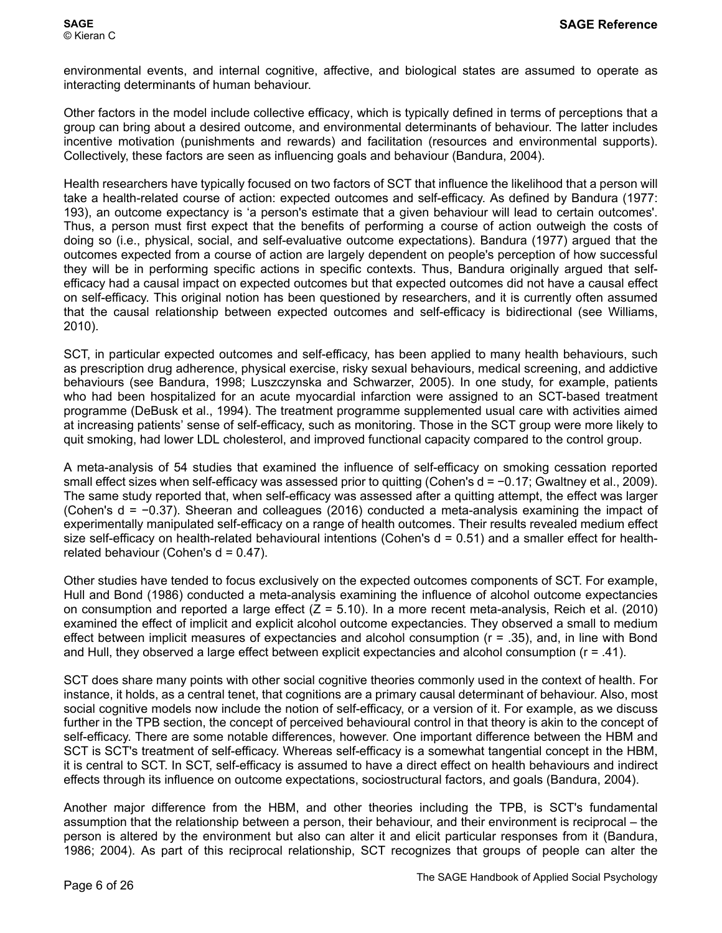environmental events, and internal cognitive, affective, and biological states are assumed to operate as interacting determinants of human behaviour.

Other factors in the model include collective efficacy, which is typically defined in terms of perceptions that a group can bring about a desired outcome, and environmental determinants of behaviour. The latter includes incentive motivation (punishments and rewards) and facilitation (resources and environmental supports). Collectively, these factors are seen as influencing goals and behaviour (Bandura, 2004).

Health researchers have typically focused on two factors of SCT that influence the likelihood that a person will take a health-related course of action: expected outcomes and self-efficacy. As defined by Bandura (1977: 193), an outcome expectancy is 'a person's estimate that a given behaviour will lead to certain outcomes'. Thus, a person must first expect that the benefits of performing a course of action outweigh the costs of doing so (i.e., physical, social, and self-evaluative outcome expectations). Bandura (1977) argued that the outcomes expected from a course of action are largely dependent on people's perception of how successful they will be in performing specific actions in specific contexts. Thus, Bandura originally argued that selfefficacy had a causal impact on expected outcomes but that expected outcomes did not have a causal effect on self-efficacy. This original notion has been questioned by researchers, and it is currently often assumed that the causal relationship between expected outcomes and self-efficacy is bidirectional (see Williams, 2010).

SCT, in particular expected outcomes and self-efficacy, has been applied to many health behaviours, such as prescription drug adherence, physical exercise, risky sexual behaviours, medical screening, and addictive behaviours (see Bandura, 1998; Luszczynska and Schwarzer, 2005). In one study, for example, patients who had been hospitalized for an acute myocardial infarction were assigned to an SCT-based treatment programme (DeBusk et al., 1994). The treatment programme supplemented usual care with activities aimed at increasing patients' sense of self-efficacy, such as monitoring. Those in the SCT group were more likely to quit smoking, had lower LDL cholesterol, and improved functional capacity compared to the control group.

A meta-analysis of 54 studies that examined the influence of self-efficacy on smoking cessation reported small effect sizes when self-efficacy was assessed prior to quitting (Cohen's d = −0.17; Gwaltney et al., 2009). The same study reported that, when self-efficacy was assessed after a quitting attempt, the effect was larger (Cohen's d = −0.37). Sheeran and colleagues (2016) conducted a meta-analysis examining the impact of experimentally manipulated self-efficacy on a range of health outcomes. Their results revealed medium effect size self-efficacy on health-related behavioural intentions (Cohen's d = 0.51) and a smaller effect for healthrelated behaviour (Cohen's  $d = 0.47$ ).

Other studies have tended to focus exclusively on the expected outcomes components of SCT. For example, Hull and Bond (1986) conducted a meta-analysis examining the influence of alcohol outcome expectancies on consumption and reported a large effect  $(Z = 5.10)$ . In a more recent meta-analysis, Reich et al. (2010) examined the effect of implicit and explicit alcohol outcome expectancies. They observed a small to medium effect between implicit measures of expectancies and alcohol consumption (r = .35), and, in line with Bond and Hull, they observed a large effect between explicit expectancies and alcohol consumption (r = .41).

SCT does share many points with other social cognitive theories commonly used in the context of health. For instance, it holds, as a central tenet, that cognitions are a primary causal determinant of behaviour. Also, most social cognitive models now include the notion of self-efficacy, or a version of it. For example, as we discuss further in the TPB section, the concept of perceived behavioural control in that theory is akin to the concept of self-efficacy. There are some notable differences, however. One important difference between the HBM and SCT is SCT's treatment of self-efficacy. Whereas self-efficacy is a somewhat tangential concept in the HBM, it is central to SCT. In SCT, self-efficacy is assumed to have a direct effect on health behaviours and indirect effects through its influence on outcome expectations, sociostructural factors, and goals (Bandura, 2004).

Another major difference from the HBM, and other theories including the TPB, is SCT's fundamental assumption that the relationship between a person, their behaviour, and their environment is reciprocal – the person is altered by the environment but also can alter it and elicit particular responses from it (Bandura, 1986; 2004). As part of this reciprocal relationship, SCT recognizes that groups of people can alter the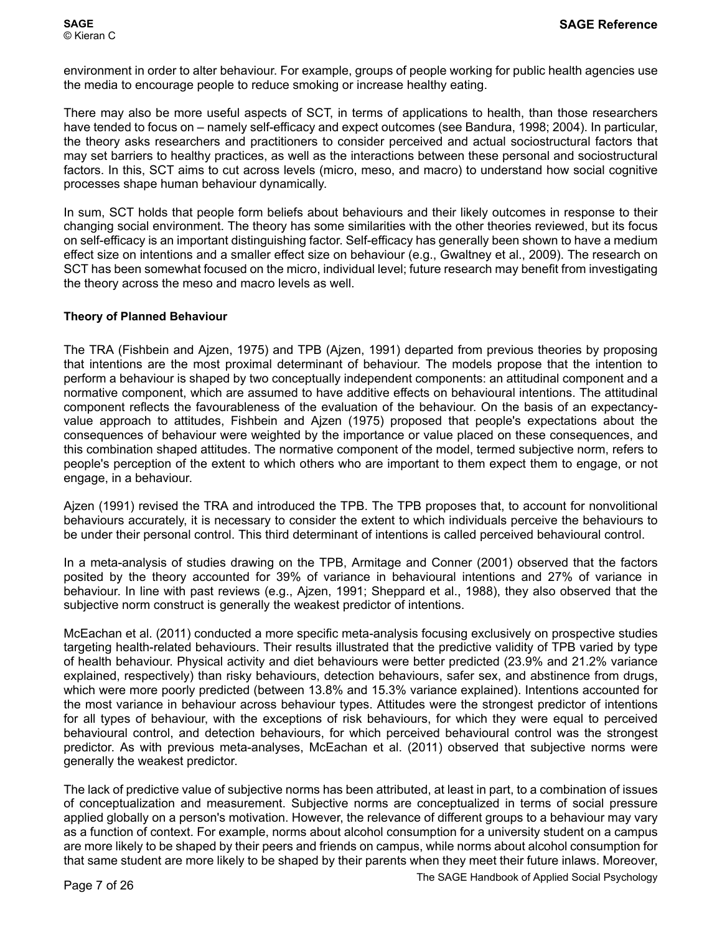environment in order to alter behaviour. For example, groups of people working for public health agencies use the media to encourage people to reduce smoking or increase healthy eating.

There may also be more useful aspects of SCT, in terms of applications to health, than those researchers have tended to focus on – namely self-efficacy and expect outcomes (see Bandura, 1998; 2004). In particular, the theory asks researchers and practitioners to consider perceived and actual sociostructural factors that may set barriers to healthy practices, as well as the interactions between these personal and sociostructural factors. In this, SCT aims to cut across levels (micro, meso, and macro) to understand how social cognitive processes shape human behaviour dynamically.

In sum, SCT holds that people form beliefs about behaviours and their likely outcomes in response to their changing social environment. The theory has some similarities with the other theories reviewed, but its focus on self-efficacy is an important distinguishing factor. Self-efficacy has generally been shown to have a medium effect size on intentions and a smaller effect size on behaviour (e.g., Gwaltney et al., 2009). The research on SCT has been somewhat focused on the micro, individual level; future research may benefit from investigating the theory across the meso and macro levels as well.

# **Theory of Planned Behaviour**

The TRA (Fishbein and Ajzen, 1975) and TPB (Ajzen, 1991) departed from previous theories by proposing that intentions are the most proximal determinant of behaviour. The models propose that the intention to perform a behaviour is shaped by two conceptually independent components: an attitudinal component and a normative component, which are assumed to have additive effects on behavioural intentions. The attitudinal component reflects the favourableness of the evaluation of the behaviour. On the basis of an expectancyvalue approach to attitudes, Fishbein and Ajzen (1975) proposed that people's expectations about the consequences of behaviour were weighted by the importance or value placed on these consequences, and this combination shaped attitudes. The normative component of the model, termed subjective norm, refers to people's perception of the extent to which others who are important to them expect them to engage, or not engage, in a behaviour.

Ajzen (1991) revised the TRA and introduced the TPB. The TPB proposes that, to account for nonvolitional behaviours accurately, it is necessary to consider the extent to which individuals perceive the behaviours to be under their personal control. This third determinant of intentions is called perceived behavioural control.

In a meta-analysis of studies drawing on the TPB, Armitage and Conner (2001) observed that the factors posited by the theory accounted for 39% of variance in behavioural intentions and 27% of variance in behaviour. In line with past reviews (e.g., Ajzen, 1991; Sheppard et al., 1988), they also observed that the subjective norm construct is generally the weakest predictor of intentions.

McEachan et al. (2011) conducted a more specific meta-analysis focusing exclusively on prospective studies targeting health-related behaviours. Their results illustrated that the predictive validity of TPB varied by type of health behaviour. Physical activity and diet behaviours were better predicted (23.9% and 21.2% variance explained, respectively) than risky behaviours, detection behaviours, safer sex, and abstinence from drugs, which were more poorly predicted (between 13.8% and 15.3% variance explained). Intentions accounted for the most variance in behaviour across behaviour types. Attitudes were the strongest predictor of intentions for all types of behaviour, with the exceptions of risk behaviours, for which they were equal to perceived behavioural control, and detection behaviours, for which perceived behavioural control was the strongest predictor. As with previous meta-analyses, McEachan et al. (2011) observed that subjective norms were generally the weakest predictor.

The lack of predictive value of subjective norms has been attributed, at least in part, to a combination of issues of conceptualization and measurement. Subjective norms are conceptualized in terms of social pressure applied globally on a person's motivation. However, the relevance of different groups to a behaviour may vary as a function of context. For example, norms about alcohol consumption for a university student on a campus are more likely to be shaped by their peers and friends on campus, while norms about alcohol consumption for that same student are more likely to be shaped by their parents when they meet their future inlaws. Moreover,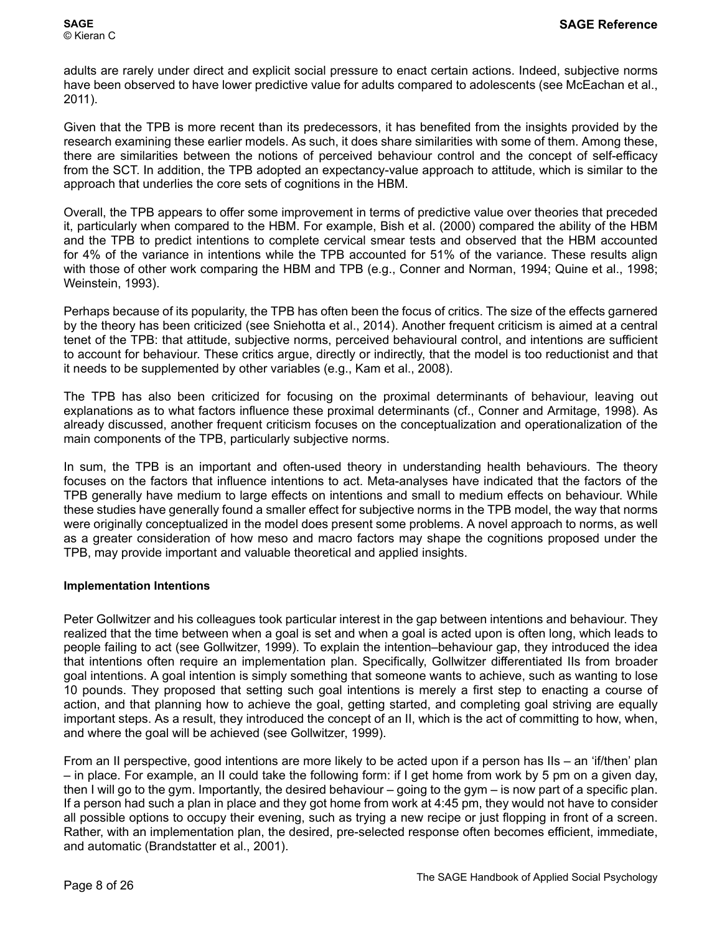adults are rarely under direct and explicit social pressure to enact certain actions. Indeed, subjective norms have been observed to have lower predictive value for adults compared to adolescents (see McEachan et al., 2011).

Given that the TPB is more recent than its predecessors, it has benefited from the insights provided by the research examining these earlier models. As such, it does share similarities with some of them. Among these, there are similarities between the notions of perceived behaviour control and the concept of self-efficacy from the SCT. In addition, the TPB adopted an expectancy-value approach to attitude, which is similar to the approach that underlies the core sets of cognitions in the HBM.

Overall, the TPB appears to offer some improvement in terms of predictive value over theories that preceded it, particularly when compared to the HBM. For example, Bish et al. (2000) compared the ability of the HBM and the TPB to predict intentions to complete cervical smear tests and observed that the HBM accounted for 4% of the variance in intentions while the TPB accounted for 51% of the variance. These results align with those of other work comparing the HBM and TPB (e.g., Conner and Norman, 1994; Quine et al., 1998; Weinstein, 1993).

Perhaps because of its popularity, the TPB has often been the focus of critics. The size of the effects garnered by the theory has been criticized (see Sniehotta et al., 2014). Another frequent criticism is aimed at a central tenet of the TPB: that attitude, subjective norms, perceived behavioural control, and intentions are sufficient to account for behaviour. These critics argue, directly or indirectly, that the model is too reductionist and that it needs to be supplemented by other variables (e.g., Kam et al., 2008).

The TPB has also been criticized for focusing on the proximal determinants of behaviour, leaving out explanations as to what factors influence these proximal determinants (cf., Conner and Armitage, 1998). As already discussed, another frequent criticism focuses on the conceptualization and operationalization of the main components of the TPB, particularly subjective norms.

In sum, the TPB is an important and often-used theory in understanding health behaviours. The theory focuses on the factors that influence intentions to act. Meta-analyses have indicated that the factors of the TPB generally have medium to large effects on intentions and small to medium effects on behaviour. While these studies have generally found a smaller effect for subjective norms in the TPB model, the way that norms were originally conceptualized in the model does present some problems. A novel approach to norms, as well as a greater consideration of how meso and macro factors may shape the cognitions proposed under the TPB, may provide important and valuable theoretical and applied insights.

# **Implementation Intentions**

Peter Gollwitzer and his colleagues took particular interest in the gap between intentions and behaviour. They realized that the time between when a goal is set and when a goal is acted upon is often long, which leads to people failing to act (see Gollwitzer, 1999). To explain the intention–behaviour gap, they introduced the idea that intentions often require an implementation plan. Specifically, Gollwitzer differentiated IIs from broader goal intentions. A goal intention is simply something that someone wants to achieve, such as wanting to lose 10 pounds. They proposed that setting such goal intentions is merely a first step to enacting a course of action, and that planning how to achieve the goal, getting started, and completing goal striving are equally important steps. As a result, they introduced the concept of an II, which is the act of committing to how, when, and where the goal will be achieved (see Gollwitzer, 1999).

From an II perspective, good intentions are more likely to be acted upon if a person has IIs – an 'if/then' plan – in place. For example, an II could take the following form: if I get home from work by 5 pm on a given day, then I will go to the gym. Importantly, the desired behaviour – going to the gym – is now part of a specific plan. If a person had such a plan in place and they got home from work at 4:45 pm, they would not have to consider all possible options to occupy their evening, such as trying a new recipe or just flopping in front of a screen. Rather, with an implementation plan, the desired, pre-selected response often becomes efficient, immediate, and automatic (Brandstatter et al., 2001).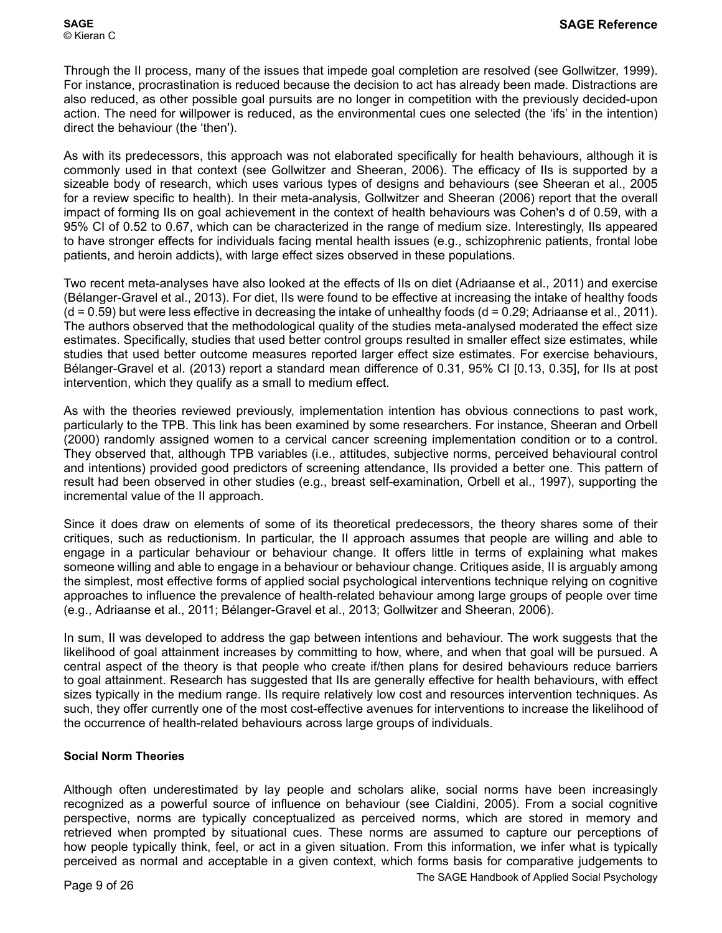Through the II process, many of the issues that impede goal completion are resolved (see Gollwitzer, 1999). For instance, procrastination is reduced because the decision to act has already been made. Distractions are also reduced, as other possible goal pursuits are no longer in competition with the previously decided-upon action. The need for willpower is reduced, as the environmental cues one selected (the 'ifs' in the intention) direct the behaviour (the 'then').

As with its predecessors, this approach was not elaborated specifically for health behaviours, although it is commonly used in that context (see Gollwitzer and Sheeran, 2006). The efficacy of IIs is supported by a sizeable body of research, which uses various types of designs and behaviours (see Sheeran et al., 2005 for a review specific to health). In their meta-analysis, Gollwitzer and Sheeran (2006) report that the overall impact of forming IIs on goal achievement in the context of health behaviours was Cohen's d of 0.59, with a 95% CI of 0.52 to 0.67, which can be characterized in the range of medium size. Interestingly, IIs appeared to have stronger effects for individuals facing mental health issues (e.g., schizophrenic patients, frontal lobe patients, and heroin addicts), with large effect sizes observed in these populations.

Two recent meta-analyses have also looked at the effects of IIs on diet (Adriaanse et al., 2011) and exercise (Bélanger-Gravel et al., 2013). For diet, IIs were found to be effective at increasing the intake of healthy foods  $(d = 0.59)$  but were less effective in decreasing the intake of unhealthy foods  $(d = 0.29;$  Adriaanse et al., 2011). The authors observed that the methodological quality of the studies meta-analysed moderated the effect size estimates. Specifically, studies that used better control groups resulted in smaller effect size estimates, while studies that used better outcome measures reported larger effect size estimates. For exercise behaviours, Bélanger-Gravel et al. (2013) report a standard mean difference of 0.31, 95% CI [0.13, 0.35], for IIs at post intervention, which they qualify as a small to medium effect.

As with the theories reviewed previously, implementation intention has obvious connections to past work, particularly to the TPB. This link has been examined by some researchers. For instance, Sheeran and Orbell (2000) randomly assigned women to a cervical cancer screening implementation condition or to a control. They observed that, although TPB variables (i.e., attitudes, subjective norms, perceived behavioural control and intentions) provided good predictors of screening attendance, IIs provided a better one. This pattern of result had been observed in other studies (e.g., breast self-examination, Orbell et al., 1997), supporting the incremental value of the II approach.

Since it does draw on elements of some of its theoretical predecessors, the theory shares some of their critiques, such as reductionism. In particular, the II approach assumes that people are willing and able to engage in a particular behaviour or behaviour change. It offers little in terms of explaining what makes someone willing and able to engage in a behaviour or behaviour change. Critiques aside, II is arguably among the simplest, most effective forms of applied social psychological interventions technique relying on cognitive approaches to influence the prevalence of health-related behaviour among large groups of people over time (e.g., Adriaanse et al., 2011; Bélanger-Gravel et al., 2013; Gollwitzer and Sheeran, 2006).

In sum, II was developed to address the gap between intentions and behaviour. The work suggests that the likelihood of goal attainment increases by committing to how, where, and when that goal will be pursued. A central aspect of the theory is that people who create if/then plans for desired behaviours reduce barriers to goal attainment. Research has suggested that IIs are generally effective for health behaviours, with effect sizes typically in the medium range. IIs require relatively low cost and resources intervention techniques. As such, they offer currently one of the most cost-effective avenues for interventions to increase the likelihood of the occurrence of health-related behaviours across large groups of individuals.

# **Social Norm Theories**

Although often underestimated by lay people and scholars alike, social norms have been increasingly recognized as a powerful source of influence on behaviour (see Cialdini, 2005). From a social cognitive perspective, norms are typically conceptualized as perceived norms, which are stored in memory and retrieved when prompted by situational cues. These norms are assumed to capture our perceptions of how people typically think, feel, or act in a given situation. From this information, we infer what is typically perceived as normal and acceptable in a given context, which forms basis for comparative judgements to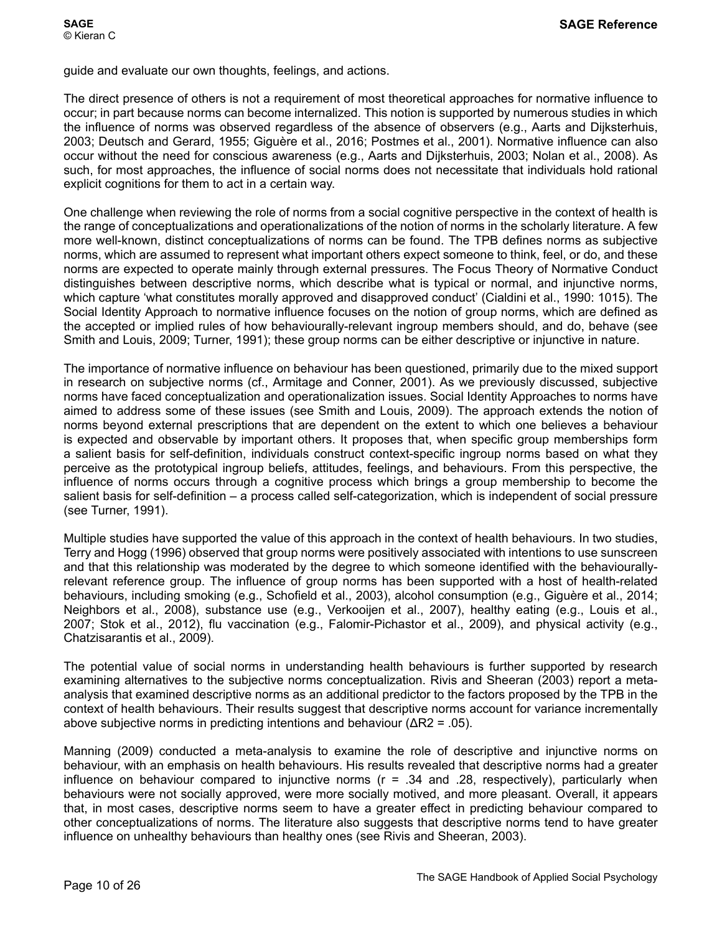guide and evaluate our own thoughts, feelings, and actions.

The direct presence of others is not a requirement of most theoretical approaches for normative influence to occur; in part because norms can become internalized. This notion is supported by numerous studies in which the influence of norms was observed regardless of the absence of observers (e.g., Aarts and Dijksterhuis, 2003; Deutsch and Gerard, 1955; Giguère et al., 2016; Postmes et al., 2001). Normative influence can also occur without the need for conscious awareness (e.g., Aarts and Dijksterhuis, 2003; Nolan et al., 2008). As such, for most approaches, the influence of social norms does not necessitate that individuals hold rational explicit cognitions for them to act in a certain way.

One challenge when reviewing the role of norms from a social cognitive perspective in the context of health is the range of conceptualizations and operationalizations of the notion of norms in the scholarly literature. A few more well-known, distinct conceptualizations of norms can be found. The TPB defines norms as subjective norms, which are assumed to represent what important others expect someone to think, feel, or do, and these norms are expected to operate mainly through external pressures. The Focus Theory of Normative Conduct distinguishes between descriptive norms, which describe what is typical or normal, and injunctive norms, which capture 'what constitutes morally approved and disapproved conduct' (Cialdini et al., 1990: 1015). The Social Identity Approach to normative influence focuses on the notion of group norms, which are defined as the accepted or implied rules of how behaviourally-relevant ingroup members should, and do, behave (see Smith and Louis, 2009; Turner, 1991); these group norms can be either descriptive or injunctive in nature.

The importance of normative influence on behaviour has been questioned, primarily due to the mixed support in research on subjective norms (cf., Armitage and Conner, 2001). As we previously discussed, subjective norms have faced conceptualization and operationalization issues. Social Identity Approaches to norms have aimed to address some of these issues (see Smith and Louis, 2009). The approach extends the notion of norms beyond external prescriptions that are dependent on the extent to which one believes a behaviour is expected and observable by important others. It proposes that, when specific group memberships form a salient basis for self-definition, individuals construct context-specific ingroup norms based on what they perceive as the prototypical ingroup beliefs, attitudes, feelings, and behaviours. From this perspective, the influence of norms occurs through a cognitive process which brings a group membership to become the salient basis for self-definition – a process called self-categorization, which is independent of social pressure (see Turner, 1991).

Multiple studies have supported the value of this approach in the context of health behaviours. In two studies, Terry and Hogg (1996) observed that group norms were positively associated with intentions to use sunscreen and that this relationship was moderated by the degree to which someone identified with the behaviourallyrelevant reference group. The influence of group norms has been supported with a host of health-related behaviours, including smoking (e.g., Schofield et al., 2003), alcohol consumption (e.g., Giguère et al., 2014; Neighbors et al., 2008), substance use (e.g., Verkooijen et al., 2007), healthy eating (e.g., Louis et al., 2007; Stok et al., 2012), flu vaccination (e.g., Falomir-Pichastor et al., 2009), and physical activity (e.g., Chatzisarantis et al., 2009).

The potential value of social norms in understanding health behaviours is further supported by research examining alternatives to the subjective norms conceptualization. Rivis and Sheeran (2003) report a metaanalysis that examined descriptive norms as an additional predictor to the factors proposed by the TPB in the context of health behaviours. Their results suggest that descriptive norms account for variance incrementally above subjective norms in predicting intentions and behaviour  $(AR2 = .05)$ .

Manning (2009) conducted a meta-analysis to examine the role of descriptive and injunctive norms on behaviour, with an emphasis on health behaviours. His results revealed that descriptive norms had a greater influence on behaviour compared to injunctive norms ( $r = 0.34$  and .28, respectively), particularly when behaviours were not socially approved, were more socially motived, and more pleasant. Overall, it appears that, in most cases, descriptive norms seem to have a greater effect in predicting behaviour compared to other conceptualizations of norms. The literature also suggests that descriptive norms tend to have greater influence on unhealthy behaviours than healthy ones (see Rivis and Sheeran, 2003).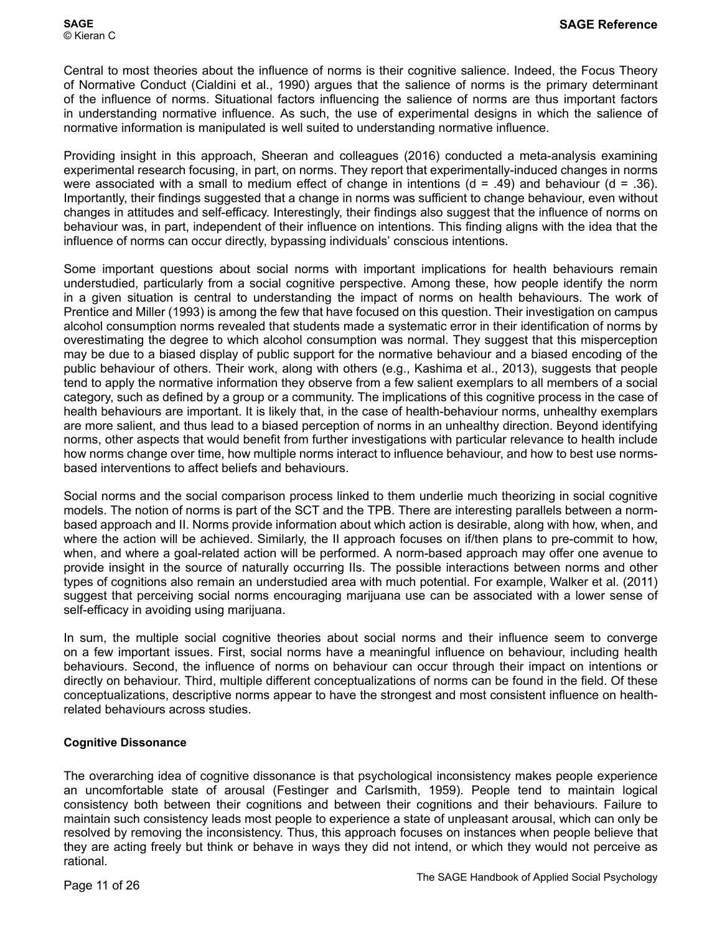Central to most theories about the influence of norms is their cognitive salience. Indeed, the Focus Theory of Normative Conduct (Cialdini et al., 1990) argues that the salience of norms is the primary determinant of the influence of norms. Situational factors influencing the salience of norms are thus important factors in understanding normative influence. As such, the use of experimental designs in which the salience of normative information is manipulated is well suited to understanding normative influence.

Providing insight in this approach, Sheeran and colleagues (2016) conducted a meta-analysis examining experimental research focusing, in part, on norms. They report that experimentally-induced changes in norms were associated with a small to medium effect of change in intentions ( $d = .49$ ) and behaviour ( $d = .36$ ). Importantly, their findings suggested that a change in norms was sufficient to change behaviour, even without changes in attitudes and self-efficacy. Interestingly, their findings also suggest that the influence of norms on behaviour was, in part, independent of their influence on intentions. This finding aligns with the idea that the influence of norms can occur directly, bypassing individuals' conscious intentions.

Some important questions about social norms with important implications for health behaviours remain understudied, particularly from a social cognitive perspective. Among these, how people identify the norm in a given situation is central to understanding the impact of norms on health behaviours. The work of Prentice and Miller (1993) is among the few that have focused on this question. Their investigation on campus alcohol consumption norms revealed that students made a systematic error in their identification of norms by overestimating the degree to which alcohol consumption was normal. They suggest that this misperception may be due to a biased display of public support for the normative behaviour and a biased encoding of the public behaviour of others. Their work, along with others (e.g., Kashima et al., 2013), suggests that people tend to apply the normative information they observe from a few salient exemplars to all members of a social category, such as defined by a group or a community. The implications of this cognitive process in the case of health behaviours are important. It is likely that, in the case of health-behaviour norms, unhealthy exemplars are more salient, and thus lead to a biased perception of norms in an unhealthy direction. Beyond identifying norms, other aspects that would benefit from further investigations with particular relevance to health include how norms change over time, how multiple norms interact to influence behaviour, and how to best use normsbased interventions to affect beliefs and behaviours.

Social norms and the social comparison process linked to them underlie much theorizing in social cognitive models. The notion of norms is part of the SCT and the TPB. There are interesting parallels between a normbased approach and II. Norms provide information about which action is desirable, along with how, when, and where the action will be achieved. Similarly, the II approach focuses on if/then plans to pre-commit to how, when, and where a goal-related action will be performed. A norm-based approach may offer one avenue to provide insight in the source of naturally occurring IIs. The possible interactions between norms and other types of cognitions also remain an understudied area with much potential. For example, Walker et al. (2011) suggest that perceiving social norms encouraging marijuana use can be associated with a lower sense of self-efficacy in avoiding using marijuana.

In sum, the multiple social cognitive theories about social norms and their influence seem to converge on a few important issues. First, social norms have a meaningful influence on behaviour, including health behaviours. Second, the influence of norms on behaviour can occur through their impact on intentions or directly on behaviour. Third, multiple different conceptualizations of norms can be found in the field. Of these conceptualizations, descriptive norms appear to have the strongest and most consistent influence on healthrelated behaviours across studies.

# **Cognitive Dissonance**

The overarching idea of cognitive dissonance is that psychological inconsistency makes people experience an uncomfortable state of arousal (Festinger and Carlsmith, 1959). People tend to maintain logical consistency both between their cognitions and between their cognitions and their behaviours. Failure to maintain such consistency leads most people to experience a state of unpleasant arousal, which can only be resolved by removing the inconsistency. Thus, this approach focuses on instances when people believe that they are acting freely but think or behave in ways they did not intend, or which they would not perceive as rational.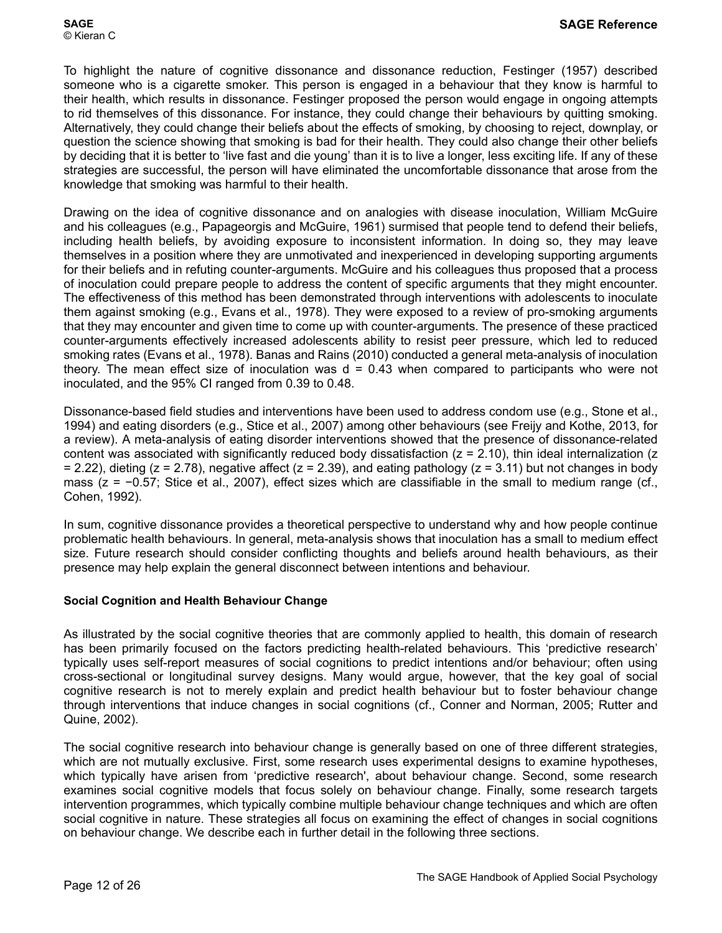To highlight the nature of cognitive dissonance and dissonance reduction, Festinger (1957) described someone who is a cigarette smoker. This person is engaged in a behaviour that they know is harmful to their health, which results in dissonance. Festinger proposed the person would engage in ongoing attempts to rid themselves of this dissonance. For instance, they could change their behaviours by quitting smoking. Alternatively, they could change their beliefs about the effects of smoking, by choosing to reject, downplay, or question the science showing that smoking is bad for their health. They could also change their other beliefs by deciding that it is better to 'live fast and die young' than it is to live a longer, less exciting life. If any of these strategies are successful, the person will have eliminated the uncomfortable dissonance that arose from the knowledge that smoking was harmful to their health.

Drawing on the idea of cognitive dissonance and on analogies with disease inoculation, William McGuire and his colleagues (e.g., Papageorgis and McGuire, 1961) surmised that people tend to defend their beliefs, including health beliefs, by avoiding exposure to inconsistent information. In doing so, they may leave themselves in a position where they are unmotivated and inexperienced in developing supporting arguments for their beliefs and in refuting counter-arguments. McGuire and his colleagues thus proposed that a process of inoculation could prepare people to address the content of specific arguments that they might encounter. The effectiveness of this method has been demonstrated through interventions with adolescents to inoculate them against smoking (e.g., Evans et al., 1978). They were exposed to a review of pro-smoking arguments that they may encounter and given time to come up with counter-arguments. The presence of these practiced counter-arguments effectively increased adolescents ability to resist peer pressure, which led to reduced smoking rates (Evans et al., 1978). Banas and Rains (2010) conducted a general meta-analysis of inoculation theory. The mean effect size of inoculation was  $d = 0.43$  when compared to participants who were not inoculated, and the 95% CI ranged from 0.39 to 0.48.

Dissonance-based field studies and interventions have been used to address condom use (e.g., Stone et al., 1994) and eating disorders (e.g., Stice et al., 2007) among other behaviours (see Freijy and Kothe, 2013, for a review). A meta-analysis of eating disorder interventions showed that the presence of dissonance-related content was associated with significantly reduced body dissatisfaction  $(z = 2.10)$ , thin ideal internalization  $(z = 1.00)$ = 2.22), dieting (z = 2.78), negative affect (z = 2.39), and eating pathology (z = 3.11) but not changes in body mass (z = −0.57; Stice et al., 2007), effect sizes which are classifiable in the small to medium range (cf., Cohen, 1992).

In sum, cognitive dissonance provides a theoretical perspective to understand why and how people continue problematic health behaviours. In general, meta-analysis shows that inoculation has a small to medium effect size. Future research should consider conflicting thoughts and beliefs around health behaviours, as their presence may help explain the general disconnect between intentions and behaviour.

# **Social Cognition and Health Behaviour Change**

As illustrated by the social cognitive theories that are commonly applied to health, this domain of research has been primarily focused on the factors predicting health-related behaviours. This 'predictive research' typically uses self-report measures of social cognitions to predict intentions and/or behaviour; often using cross-sectional or longitudinal survey designs. Many would argue, however, that the key goal of social cognitive research is not to merely explain and predict health behaviour but to foster behaviour change through interventions that induce changes in social cognitions (cf., Conner and Norman, 2005; Rutter and Quine, 2002).

The social cognitive research into behaviour change is generally based on one of three different strategies, which are not mutually exclusive. First, some research uses experimental designs to examine hypotheses, which typically have arisen from 'predictive research', about behaviour change. Second, some research examines social cognitive models that focus solely on behaviour change. Finally, some research targets intervention programmes, which typically combine multiple behaviour change techniques and which are often social cognitive in nature. These strategies all focus on examining the effect of changes in social cognitions on behaviour change. We describe each in further detail in the following three sections.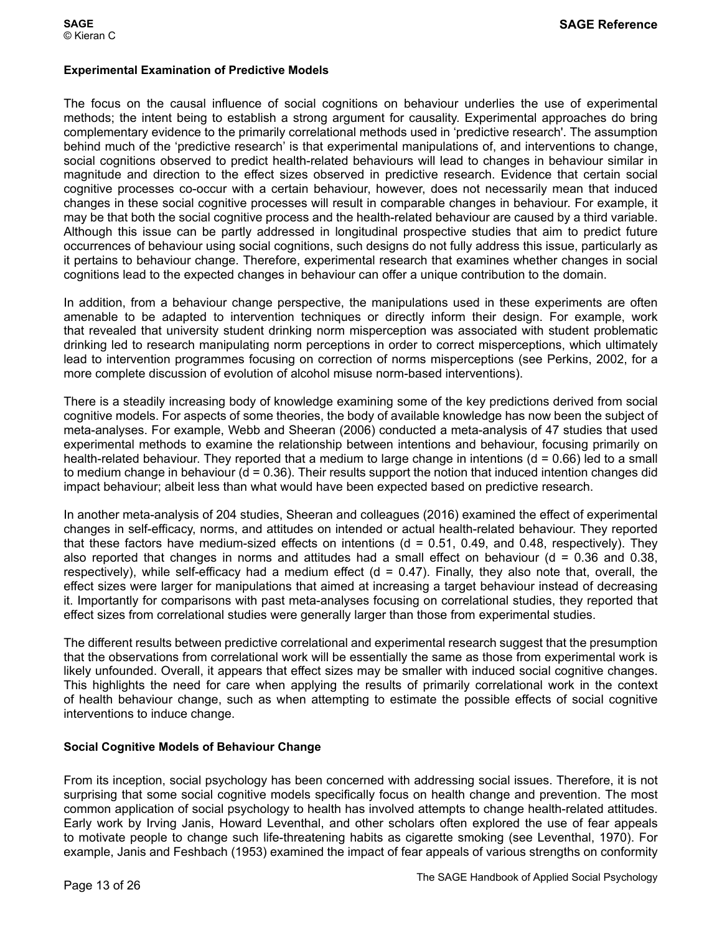# **Experimental Examination of Predictive Models**

The focus on the causal influence of social cognitions on behaviour underlies the use of experimental methods; the intent being to establish a strong argument for causality. Experimental approaches do bring complementary evidence to the primarily correlational methods used in 'predictive research'. The assumption behind much of the 'predictive research' is that experimental manipulations of, and interventions to change, social cognitions observed to predict health-related behaviours will lead to changes in behaviour similar in magnitude and direction to the effect sizes observed in predictive research. Evidence that certain social cognitive processes co-occur with a certain behaviour, however, does not necessarily mean that induced changes in these social cognitive processes will result in comparable changes in behaviour. For example, it may be that both the social cognitive process and the health-related behaviour are caused by a third variable. Although this issue can be partly addressed in longitudinal prospective studies that aim to predict future occurrences of behaviour using social cognitions, such designs do not fully address this issue, particularly as it pertains to behaviour change. Therefore, experimental research that examines whether changes in social cognitions lead to the expected changes in behaviour can offer a unique contribution to the domain.

In addition, from a behaviour change perspective, the manipulations used in these experiments are often amenable to be adapted to intervention techniques or directly inform their design. For example, work that revealed that university student drinking norm misperception was associated with student problematic drinking led to research manipulating norm perceptions in order to correct misperceptions, which ultimately lead to intervention programmes focusing on correction of norms misperceptions (see Perkins, 2002, for a more complete discussion of evolution of alcohol misuse norm-based interventions).

There is a steadily increasing body of knowledge examining some of the key predictions derived from social cognitive models. For aspects of some theories, the body of available knowledge has now been the subject of meta-analyses. For example, Webb and Sheeran (2006) conducted a meta-analysis of 47 studies that used experimental methods to examine the relationship between intentions and behaviour, focusing primarily on health-related behaviour. They reported that a medium to large change in intentions (d = 0.66) led to a small to medium change in behaviour  $(d = 0.36)$ . Their results support the notion that induced intention changes did impact behaviour; albeit less than what would have been expected based on predictive research.

In another meta-analysis of 204 studies, Sheeran and colleagues (2016) examined the effect of experimental changes in self-efficacy, norms, and attitudes on intended or actual health-related behaviour. They reported that these factors have medium-sized effects on intentions ( $d = 0.51$ , 0.49, and 0.48, respectively). They also reported that changes in norms and attitudes had a small effect on behaviour ( $d = 0.36$  and 0.38, respectively), while self-efficacy had a medium effect ( $d = 0.47$ ). Finally, they also note that, overall, the effect sizes were larger for manipulations that aimed at increasing a target behaviour instead of decreasing it. Importantly for comparisons with past meta-analyses focusing on correlational studies, they reported that effect sizes from correlational studies were generally larger than those from experimental studies.

The different results between predictive correlational and experimental research suggest that the presumption that the observations from correlational work will be essentially the same as those from experimental work is likely unfounded. Overall, it appears that effect sizes may be smaller with induced social cognitive changes. This highlights the need for care when applying the results of primarily correlational work in the context of health behaviour change, such as when attempting to estimate the possible effects of social cognitive interventions to induce change.

### **Social Cognitive Models of Behaviour Change**

From its inception, social psychology has been concerned with addressing social issues. Therefore, it is not surprising that some social cognitive models specifically focus on health change and prevention. The most common application of social psychology to health has involved attempts to change health-related attitudes. Early work by Irving Janis, Howard Leventhal, and other scholars often explored the use of fear appeals to motivate people to change such life-threatening habits as cigarette smoking (see Leventhal, 1970). For example, Janis and Feshbach (1953) examined the impact of fear appeals of various strengths on conformity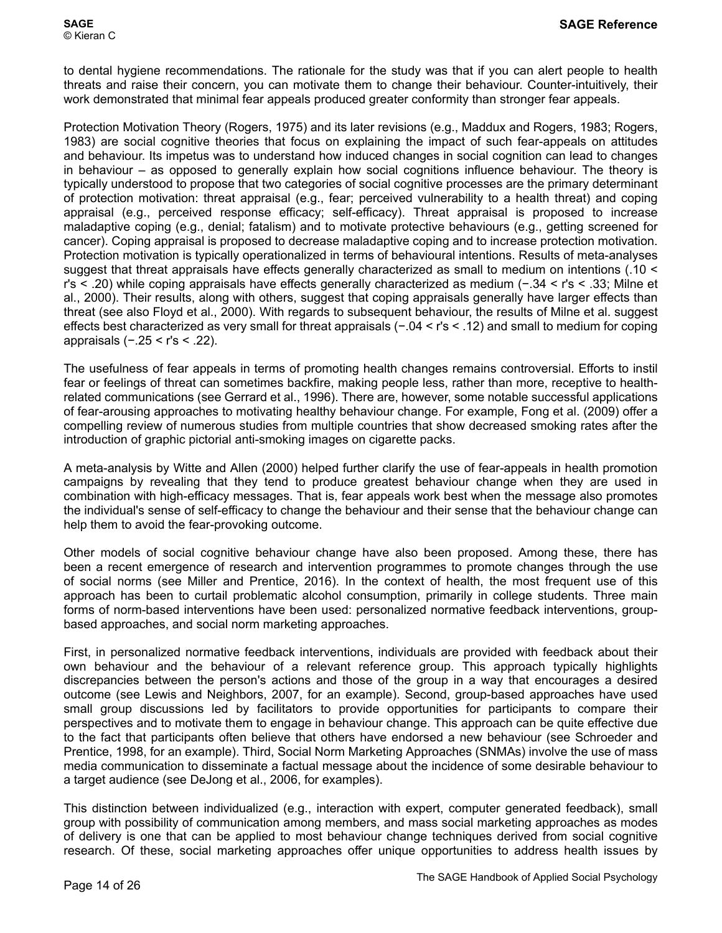to dental hygiene recommendations. The rationale for the study was that if you can alert people to health threats and raise their concern, you can motivate them to change their behaviour. Counter-intuitively, their work demonstrated that minimal fear appeals produced greater conformity than stronger fear appeals.

Protection Motivation Theory (Rogers, 1975) and its later revisions (e.g., Maddux and Rogers, 1983; Rogers, 1983) are social cognitive theories that focus on explaining the impact of such fear-appeals on attitudes and behaviour. Its impetus was to understand how induced changes in social cognition can lead to changes in behaviour – as opposed to generally explain how social cognitions influence behaviour. The theory is typically understood to propose that two categories of social cognitive processes are the primary determinant of protection motivation: threat appraisal (e.g., fear; perceived vulnerability to a health threat) and coping appraisal (e.g., perceived response efficacy; self-efficacy). Threat appraisal is proposed to increase maladaptive coping (e.g., denial; fatalism) and to motivate protective behaviours (e.g., getting screened for cancer). Coping appraisal is proposed to decrease maladaptive coping and to increase protection motivation. Protection motivation is typically operationalized in terms of behavioural intentions. Results of meta-analyses suggest that threat appraisals have effects generally characterized as small to medium on intentions (.10 < r's < .20) while coping appraisals have effects generally characterized as medium (−.34 < r's < .33; Milne et al., 2000). Their results, along with others, suggest that coping appraisals generally have larger effects than threat (see also Floyd et al., 2000). With regards to subsequent behaviour, the results of Milne et al. suggest effects best characterized as very small for threat appraisals (−.04 < r's < .12) and small to medium for coping appraisals (−.25 < r's < .22).

The usefulness of fear appeals in terms of promoting health changes remains controversial. Efforts to instil fear or feelings of threat can sometimes backfire, making people less, rather than more, receptive to healthrelated communications (see Gerrard et al., 1996). There are, however, some notable successful applications of fear-arousing approaches to motivating healthy behaviour change. For example, Fong et al. (2009) offer a compelling review of numerous studies from multiple countries that show decreased smoking rates after the introduction of graphic pictorial anti-smoking images on cigarette packs.

A meta-analysis by Witte and Allen (2000) helped further clarify the use of fear-appeals in health promotion campaigns by revealing that they tend to produce greatest behaviour change when they are used in combination with high-efficacy messages. That is, fear appeals work best when the message also promotes the individual's sense of self-efficacy to change the behaviour and their sense that the behaviour change can help them to avoid the fear-provoking outcome.

Other models of social cognitive behaviour change have also been proposed. Among these, there has been a recent emergence of research and intervention programmes to promote changes through the use of social norms (see Miller and Prentice, 2016). In the context of health, the most frequent use of this approach has been to curtail problematic alcohol consumption, primarily in college students. Three main forms of norm-based interventions have been used: personalized normative feedback interventions, groupbased approaches, and social norm marketing approaches.

First, in personalized normative feedback interventions, individuals are provided with feedback about their own behaviour and the behaviour of a relevant reference group. This approach typically highlights discrepancies between the person's actions and those of the group in a way that encourages a desired outcome (see Lewis and Neighbors, 2007, for an example). Second, group-based approaches have used small group discussions led by facilitators to provide opportunities for participants to compare their perspectives and to motivate them to engage in behaviour change. This approach can be quite effective due to the fact that participants often believe that others have endorsed a new behaviour (see Schroeder and Prentice, 1998, for an example). Third, Social Norm Marketing Approaches (SNMAs) involve the use of mass media communication to disseminate a factual message about the incidence of some desirable behaviour to a target audience (see DeJong et al., 2006, for examples).

This distinction between individualized (e.g., interaction with expert, computer generated feedback), small group with possibility of communication among members, and mass social marketing approaches as modes of delivery is one that can be applied to most behaviour change techniques derived from social cognitive research. Of these, social marketing approaches offer unique opportunities to address health issues by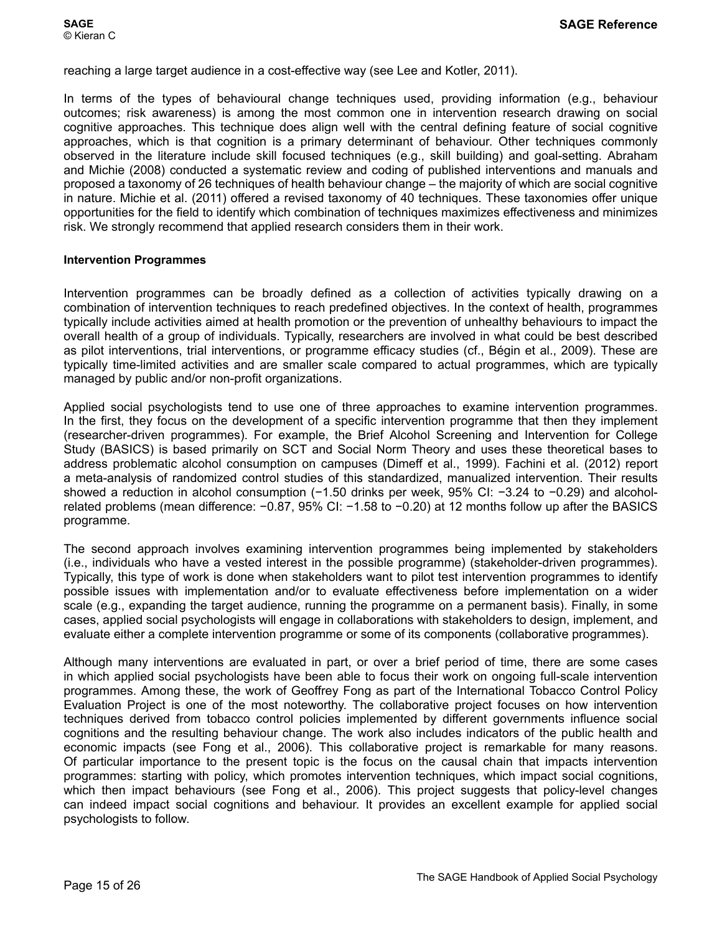reaching a large target audience in a cost-effective way (see Lee and Kotler, 2011).

In terms of the types of behavioural change techniques used, providing information (e.g., behaviour outcomes; risk awareness) is among the most common one in intervention research drawing on social cognitive approaches. This technique does align well with the central defining feature of social cognitive approaches, which is that cognition is a primary determinant of behaviour. Other techniques commonly observed in the literature include skill focused techniques (e.g., skill building) and goal-setting. Abraham and Michie (2008) conducted a systematic review and coding of published interventions and manuals and proposed a taxonomy of 26 techniques of health behaviour change – the majority of which are social cognitive in nature. Michie et al. (2011) offered a revised taxonomy of 40 techniques. These taxonomies offer unique opportunities for the field to identify which combination of techniques maximizes effectiveness and minimizes risk. We strongly recommend that applied research considers them in their work.

# **Intervention Programmes**

Intervention programmes can be broadly defined as a collection of activities typically drawing on a combination of intervention techniques to reach predefined objectives. In the context of health, programmes typically include activities aimed at health promotion or the prevention of unhealthy behaviours to impact the overall health of a group of individuals. Typically, researchers are involved in what could be best described as pilot interventions, trial interventions, or programme efficacy studies (cf., Bégin et al., 2009). These are typically time-limited activities and are smaller scale compared to actual programmes, which are typically managed by public and/or non-profit organizations.

Applied social psychologists tend to use one of three approaches to examine intervention programmes. In the first, they focus on the development of a specific intervention programme that then they implement (researcher-driven programmes). For example, the Brief Alcohol Screening and Intervention for College Study (BASICS) is based primarily on SCT and Social Norm Theory and uses these theoretical bases to address problematic alcohol consumption on campuses (Dimeff et al., 1999). Fachini et al. (2012) report a meta-analysis of randomized control studies of this standardized, manualized intervention. Their results showed a reduction in alcohol consumption (-1.50 drinks per week, 95% CI: -3.24 to -0.29) and alcoholrelated problems (mean difference: −0.87, 95% CI: −1.58 to −0.20) at 12 months follow up after the BASICS programme.

The second approach involves examining intervention programmes being implemented by stakeholders (i.e., individuals who have a vested interest in the possible programme) (stakeholder-driven programmes). Typically, this type of work is done when stakeholders want to pilot test intervention programmes to identify possible issues with implementation and/or to evaluate effectiveness before implementation on a wider scale (e.g., expanding the target audience, running the programme on a permanent basis). Finally, in some cases, applied social psychologists will engage in collaborations with stakeholders to design, implement, and evaluate either a complete intervention programme or some of its components (collaborative programmes).

Although many interventions are evaluated in part, or over a brief period of time, there are some cases in which applied social psychologists have been able to focus their work on ongoing full-scale intervention programmes. Among these, the work of Geoffrey Fong as part of the International Tobacco Control Policy Evaluation Project is one of the most noteworthy. The collaborative project focuses on how intervention techniques derived from tobacco control policies implemented by different governments influence social cognitions and the resulting behaviour change. The work also includes indicators of the public health and economic impacts (see Fong et al., 2006). This collaborative project is remarkable for many reasons. Of particular importance to the present topic is the focus on the causal chain that impacts intervention programmes: starting with policy, which promotes intervention techniques, which impact social cognitions, which then impact behaviours (see Fong et al., 2006). This project suggests that policy-level changes can indeed impact social cognitions and behaviour. It provides an excellent example for applied social psychologists to follow.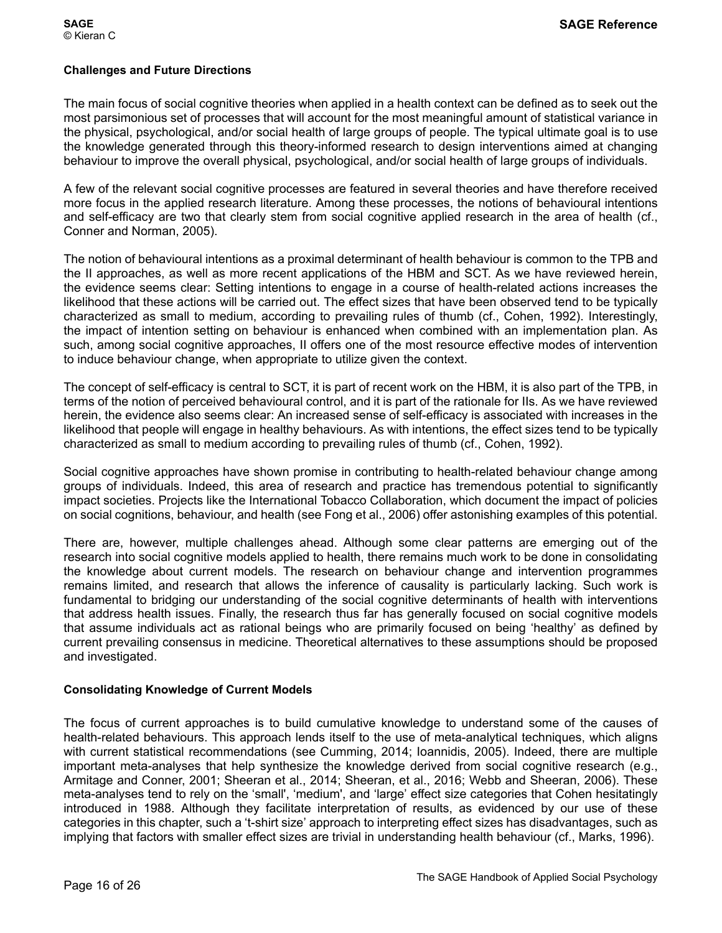# **Challenges and Future Directions**

The main focus of social cognitive theories when applied in a health context can be defined as to seek out the most parsimonious set of processes that will account for the most meaningful amount of statistical variance in the physical, psychological, and/or social health of large groups of people. The typical ultimate goal is to use the knowledge generated through this theory-informed research to design interventions aimed at changing behaviour to improve the overall physical, psychological, and/or social health of large groups of individuals.

A few of the relevant social cognitive processes are featured in several theories and have therefore received more focus in the applied research literature. Among these processes, the notions of behavioural intentions and self-efficacy are two that clearly stem from social cognitive applied research in the area of health (cf., Conner and Norman, 2005).

The notion of behavioural intentions as a proximal determinant of health behaviour is common to the TPB and the II approaches, as well as more recent applications of the HBM and SCT. As we have reviewed herein, the evidence seems clear: Setting intentions to engage in a course of health-related actions increases the likelihood that these actions will be carried out. The effect sizes that have been observed tend to be typically characterized as small to medium, according to prevailing rules of thumb (cf., Cohen, 1992). Interestingly, the impact of intention setting on behaviour is enhanced when combined with an implementation plan. As such, among social cognitive approaches, II offers one of the most resource effective modes of intervention to induce behaviour change, when appropriate to utilize given the context.

The concept of self-efficacy is central to SCT, it is part of recent work on the HBM, it is also part of the TPB, in terms of the notion of perceived behavioural control, and it is part of the rationale for IIs. As we have reviewed herein, the evidence also seems clear: An increased sense of self-efficacy is associated with increases in the likelihood that people will engage in healthy behaviours. As with intentions, the effect sizes tend to be typically characterized as small to medium according to prevailing rules of thumb (cf., Cohen, 1992).

Social cognitive approaches have shown promise in contributing to health-related behaviour change among groups of individuals. Indeed, this area of research and practice has tremendous potential to significantly impact societies. Projects like the International Tobacco Collaboration, which document the impact of policies on social cognitions, behaviour, and health (see Fong et al., 2006) offer astonishing examples of this potential.

There are, however, multiple challenges ahead. Although some clear patterns are emerging out of the research into social cognitive models applied to health, there remains much work to be done in consolidating the knowledge about current models. The research on behaviour change and intervention programmes remains limited, and research that allows the inference of causality is particularly lacking. Such work is fundamental to bridging our understanding of the social cognitive determinants of health with interventions that address health issues. Finally, the research thus far has generally focused on social cognitive models that assume individuals act as rational beings who are primarily focused on being 'healthy' as defined by current prevailing consensus in medicine. Theoretical alternatives to these assumptions should be proposed and investigated.

### **Consolidating Knowledge of Current Models**

The focus of current approaches is to build cumulative knowledge to understand some of the causes of health-related behaviours. This approach lends itself to the use of meta-analytical techniques, which aligns with current statistical recommendations (see Cumming, 2014; Ioannidis, 2005). Indeed, there are multiple important meta-analyses that help synthesize the knowledge derived from social cognitive research (e.g., Armitage and Conner, 2001; Sheeran et al., 2014; Sheeran, et al., 2016; Webb and Sheeran, 2006). These meta-analyses tend to rely on the 'small', 'medium', and 'large' effect size categories that Cohen hesitatingly introduced in 1988. Although they facilitate interpretation of results, as evidenced by our use of these categories in this chapter, such a 't-shirt size' approach to interpreting effect sizes has disadvantages, such as implying that factors with smaller effect sizes are trivial in understanding health behaviour (cf., Marks, 1996).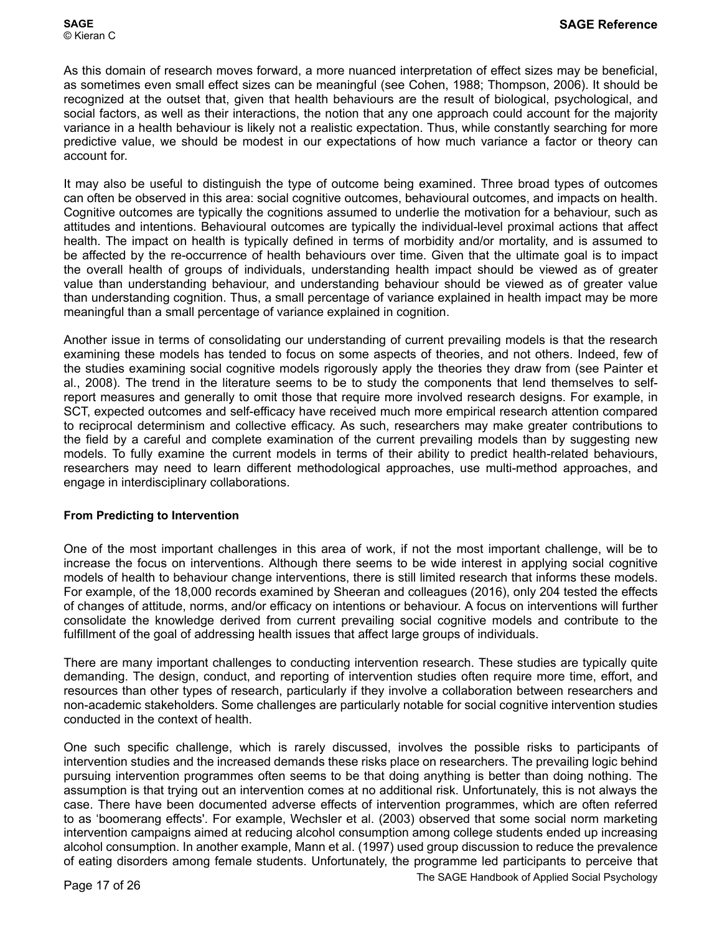As this domain of research moves forward, a more nuanced interpretation of effect sizes may be beneficial, as sometimes even small effect sizes can be meaningful (see Cohen, 1988; Thompson, 2006). It should be recognized at the outset that, given that health behaviours are the result of biological, psychological, and social factors, as well as their interactions, the notion that any one approach could account for the majority variance in a health behaviour is likely not a realistic expectation. Thus, while constantly searching for more predictive value, we should be modest in our expectations of how much variance a factor or theory can account for.

It may also be useful to distinguish the type of outcome being examined. Three broad types of outcomes can often be observed in this area: social cognitive outcomes, behavioural outcomes, and impacts on health. Cognitive outcomes are typically the cognitions assumed to underlie the motivation for a behaviour, such as attitudes and intentions. Behavioural outcomes are typically the individual-level proximal actions that affect health. The impact on health is typically defined in terms of morbidity and/or mortality, and is assumed to be affected by the re-occurrence of health behaviours over time. Given that the ultimate goal is to impact the overall health of groups of individuals, understanding health impact should be viewed as of greater value than understanding behaviour, and understanding behaviour should be viewed as of greater value than understanding cognition. Thus, a small percentage of variance explained in health impact may be more meaningful than a small percentage of variance explained in cognition.

Another issue in terms of consolidating our understanding of current prevailing models is that the research examining these models has tended to focus on some aspects of theories, and not others. Indeed, few of the studies examining social cognitive models rigorously apply the theories they draw from (see Painter et al., 2008). The trend in the literature seems to be to study the components that lend themselves to selfreport measures and generally to omit those that require more involved research designs. For example, in SCT, expected outcomes and self-efficacy have received much more empirical research attention compared to reciprocal determinism and collective efficacy. As such, researchers may make greater contributions to the field by a careful and complete examination of the current prevailing models than by suggesting new models. To fully examine the current models in terms of their ability to predict health-related behaviours, researchers may need to learn different methodological approaches, use multi-method approaches, and engage in interdisciplinary collaborations.

# **From Predicting to Intervention**

One of the most important challenges in this area of work, if not the most important challenge, will be to increase the focus on interventions. Although there seems to be wide interest in applying social cognitive models of health to behaviour change interventions, there is still limited research that informs these models. For example, of the 18,000 records examined by Sheeran and colleagues (2016), only 204 tested the effects of changes of attitude, norms, and/or efficacy on intentions or behaviour. A focus on interventions will further consolidate the knowledge derived from current prevailing social cognitive models and contribute to the fulfillment of the goal of addressing health issues that affect large groups of individuals.

There are many important challenges to conducting intervention research. These studies are typically quite demanding. The design, conduct, and reporting of intervention studies often require more time, effort, and resources than other types of research, particularly if they involve a collaboration between researchers and non-academic stakeholders. Some challenges are particularly notable for social cognitive intervention studies conducted in the context of health.

One such specific challenge, which is rarely discussed, involves the possible risks to participants of intervention studies and the increased demands these risks place on researchers. The prevailing logic behind pursuing intervention programmes often seems to be that doing anything is better than doing nothing. The assumption is that trying out an intervention comes at no additional risk. Unfortunately, this is not always the case. There have been documented adverse effects of intervention programmes, which are often referred to as 'boomerang effects'. For example, Wechsler et al. (2003) observed that some social norm marketing intervention campaigns aimed at reducing alcohol consumption among college students ended up increasing alcohol consumption. In another example, Mann et al. (1997) used group discussion to reduce the prevalence of eating disorders among female students. Unfortunately, the programme led participants to perceive that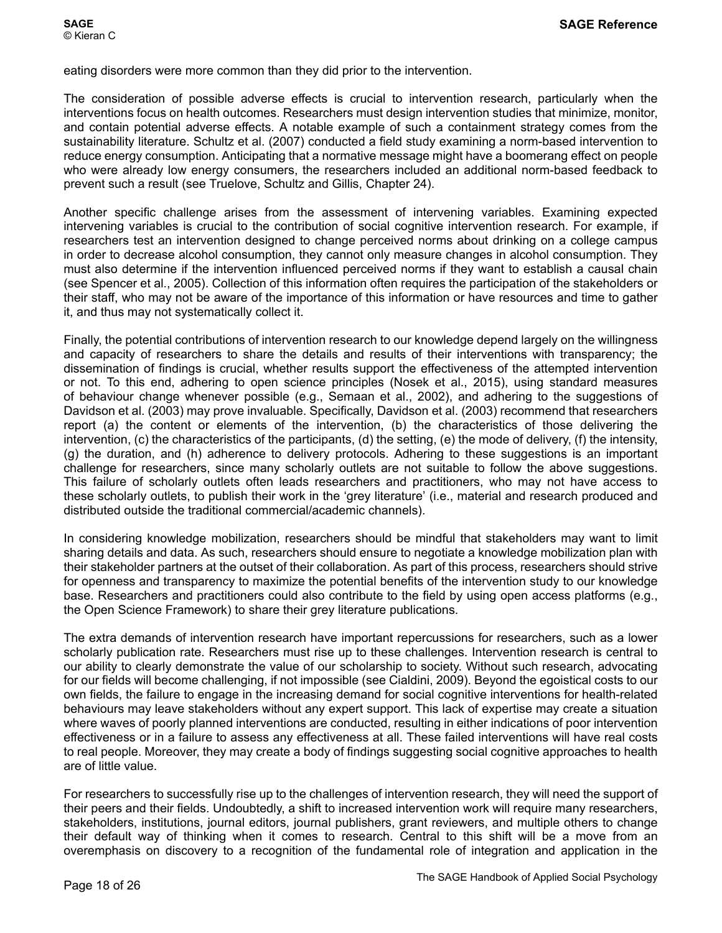eating disorders were more common than they did prior to the intervention.

The consideration of possible adverse effects is crucial to intervention research, particularly when the interventions focus on health outcomes. Researchers must design intervention studies that minimize, monitor, and contain potential adverse effects. A notable example of such a containment strategy comes from the sustainability literature. Schultz et al. (2007) conducted a field study examining a norm-based intervention to reduce energy consumption. Anticipating that a normative message might have a boomerang effect on people who were already low energy consumers, the researchers included an additional norm-based feedback to prevent such a result (see Truelove, Schultz and Gillis, Chapter 24).

Another specific challenge arises from the assessment of intervening variables. Examining expected intervening variables is crucial to the contribution of social cognitive intervention research. For example, if researchers test an intervention designed to change perceived norms about drinking on a college campus in order to decrease alcohol consumption, they cannot only measure changes in alcohol consumption. They must also determine if the intervention influenced perceived norms if they want to establish a causal chain (see Spencer et al., 2005). Collection of this information often requires the participation of the stakeholders or their staff, who may not be aware of the importance of this information or have resources and time to gather it, and thus may not systematically collect it.

Finally, the potential contributions of intervention research to our knowledge depend largely on the willingness and capacity of researchers to share the details and results of their interventions with transparency; the dissemination of findings is crucial, whether results support the effectiveness of the attempted intervention or not. To this end, adhering to open science principles (Nosek et al., 2015), using standard measures of behaviour change whenever possible (e.g., Semaan et al., 2002), and adhering to the suggestions of Davidson et al. (2003) may prove invaluable. Specifically, Davidson et al. (2003) recommend that researchers report (a) the content or elements of the intervention, (b) the characteristics of those delivering the intervention, (c) the characteristics of the participants, (d) the setting, (e) the mode of delivery, (f) the intensity, (g) the duration, and (h) adherence to delivery protocols. Adhering to these suggestions is an important challenge for researchers, since many scholarly outlets are not suitable to follow the above suggestions. This failure of scholarly outlets often leads researchers and practitioners, who may not have access to these scholarly outlets, to publish their work in the 'grey literature' (i.e., material and research produced and distributed outside the traditional commercial/academic channels).

In considering knowledge mobilization, researchers should be mindful that stakeholders may want to limit sharing details and data. As such, researchers should ensure to negotiate a knowledge mobilization plan with their stakeholder partners at the outset of their collaboration. As part of this process, researchers should strive for openness and transparency to maximize the potential benefits of the intervention study to our knowledge base. Researchers and practitioners could also contribute to the field by using open access platforms (e.g., the Open Science Framework) to share their grey literature publications.

The extra demands of intervention research have important repercussions for researchers, such as a lower scholarly publication rate. Researchers must rise up to these challenges. Intervention research is central to our ability to clearly demonstrate the value of our scholarship to society. Without such research, advocating for our fields will become challenging, if not impossible (see Cialdini, 2009). Beyond the egoistical costs to our own fields, the failure to engage in the increasing demand for social cognitive interventions for health-related behaviours may leave stakeholders without any expert support. This lack of expertise may create a situation where waves of poorly planned interventions are conducted, resulting in either indications of poor intervention effectiveness or in a failure to assess any effectiveness at all. These failed interventions will have real costs to real people. Moreover, they may create a body of findings suggesting social cognitive approaches to health are of little value.

For researchers to successfully rise up to the challenges of intervention research, they will need the support of their peers and their fields. Undoubtedly, a shift to increased intervention work will require many researchers, stakeholders, institutions, journal editors, journal publishers, grant reviewers, and multiple others to change their default way of thinking when it comes to research. Central to this shift will be a move from an overemphasis on discovery to a recognition of the fundamental role of integration and application in the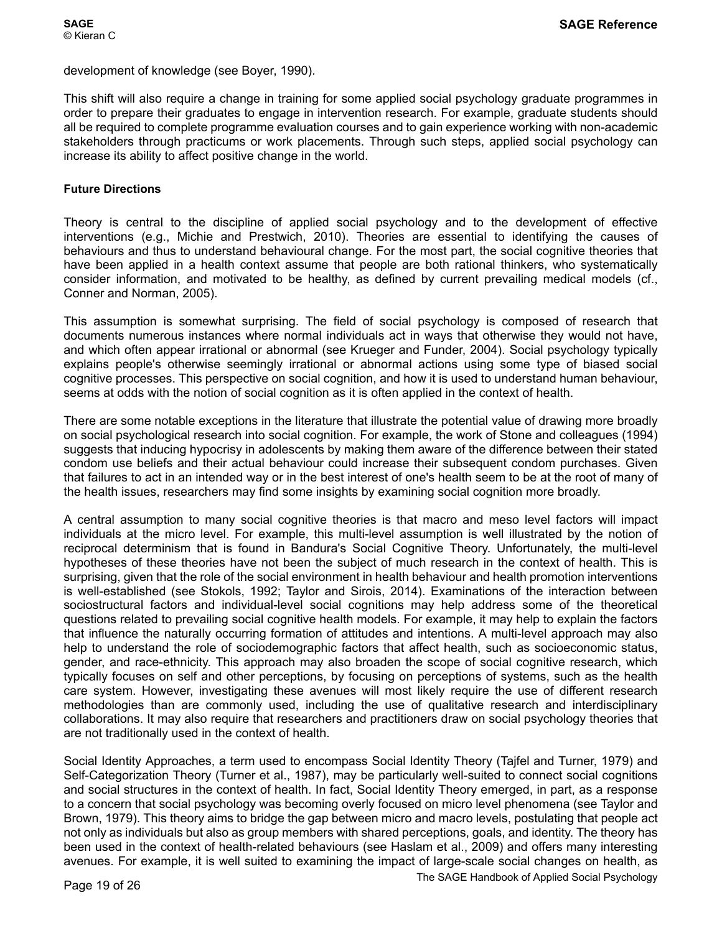development of knowledge (see Boyer, 1990).

This shift will also require a change in training for some applied social psychology graduate programmes in order to prepare their graduates to engage in intervention research. For example, graduate students should all be required to complete programme evaluation courses and to gain experience working with non-academic stakeholders through practicums or work placements. Through such steps, applied social psychology can increase its ability to affect positive change in the world.

# **Future Directions**

Theory is central to the discipline of applied social psychology and to the development of effective interventions (e.g., Michie and Prestwich, 2010). Theories are essential to identifying the causes of behaviours and thus to understand behavioural change. For the most part, the social cognitive theories that have been applied in a health context assume that people are both rational thinkers, who systematically consider information, and motivated to be healthy, as defined by current prevailing medical models (cf., Conner and Norman, 2005).

This assumption is somewhat surprising. The field of social psychology is composed of research that documents numerous instances where normal individuals act in ways that otherwise they would not have, and which often appear irrational or abnormal (see Krueger and Funder, 2004). Social psychology typically explains people's otherwise seemingly irrational or abnormal actions using some type of biased social cognitive processes. This perspective on social cognition, and how it is used to understand human behaviour, seems at odds with the notion of social cognition as it is often applied in the context of health.

There are some notable exceptions in the literature that illustrate the potential value of drawing more broadly on social psychological research into social cognition. For example, the work of Stone and colleagues (1994) suggests that inducing hypocrisy in adolescents by making them aware of the difference between their stated condom use beliefs and their actual behaviour could increase their subsequent condom purchases. Given that failures to act in an intended way or in the best interest of one's health seem to be at the root of many of the health issues, researchers may find some insights by examining social cognition more broadly.

A central assumption to many social cognitive theories is that macro and meso level factors will impact individuals at the micro level. For example, this multi-level assumption is well illustrated by the notion of reciprocal determinism that is found in Bandura's Social Cognitive Theory. Unfortunately, the multi-level hypotheses of these theories have not been the subject of much research in the context of health. This is surprising, given that the role of the social environment in health behaviour and health promotion interventions is well-established (see Stokols, 1992; Taylor and Sirois, 2014). Examinations of the interaction between sociostructural factors and individual-level social cognitions may help address some of the theoretical questions related to prevailing social cognitive health models. For example, it may help to explain the factors that influence the naturally occurring formation of attitudes and intentions. A multi-level approach may also help to understand the role of sociodemographic factors that affect health, such as socioeconomic status, gender, and race-ethnicity. This approach may also broaden the scope of social cognitive research, which typically focuses on self and other perceptions, by focusing on perceptions of systems, such as the health care system. However, investigating these avenues will most likely require the use of different research methodologies than are commonly used, including the use of qualitative research and interdisciplinary collaborations. It may also require that researchers and practitioners draw on social psychology theories that are not traditionally used in the context of health.

Social Identity Approaches, a term used to encompass Social Identity Theory (Tajfel and Turner, 1979) and Self-Categorization Theory (Turner et al., 1987), may be particularly well-suited to connect social cognitions and social structures in the context of health. In fact, Social Identity Theory emerged, in part, as a response to a concern that social psychology was becoming overly focused on micro level phenomena (see Taylor and Brown, 1979). This theory aims to bridge the gap between micro and macro levels, postulating that people act not only as individuals but also as group members with shared perceptions, goals, and identity. The theory has been used in the context of health-related behaviours (see Haslam et al., 2009) and offers many interesting avenues. For example, it is well suited to examining the impact of large-scale social changes on health, as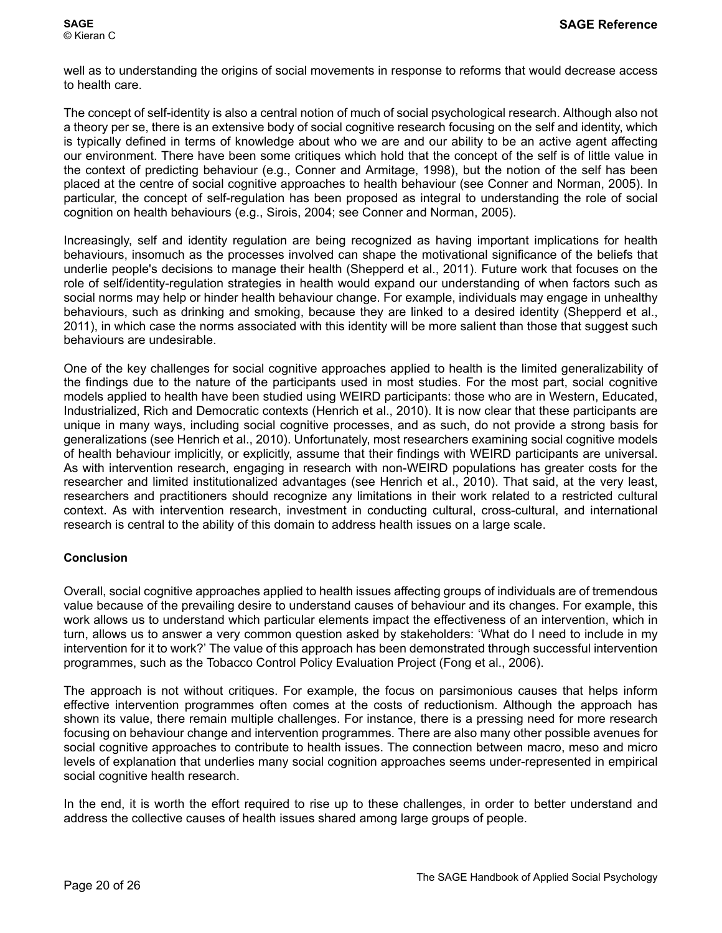well as to understanding the origins of social movements in response to reforms that would decrease access to health care.

The concept of self-identity is also a central notion of much of social psychological research. Although also not a theory per se, there is an extensive body of social cognitive research focusing on the self and identity, which is typically defined in terms of knowledge about who we are and our ability to be an active agent affecting our environment. There have been some critiques which hold that the concept of the self is of little value in the context of predicting behaviour (e.g., Conner and Armitage, 1998), but the notion of the self has been placed at the centre of social cognitive approaches to health behaviour (see Conner and Norman, 2005). In particular, the concept of self-regulation has been proposed as integral to understanding the role of social cognition on health behaviours (e.g., Sirois, 2004; see Conner and Norman, 2005).

Increasingly, self and identity regulation are being recognized as having important implications for health behaviours, insomuch as the processes involved can shape the motivational significance of the beliefs that underlie people's decisions to manage their health (Shepperd et al., 2011). Future work that focuses on the role of self/identity-regulation strategies in health would expand our understanding of when factors such as social norms may help or hinder health behaviour change. For example, individuals may engage in unhealthy behaviours, such as drinking and smoking, because they are linked to a desired identity (Shepperd et al., 2011), in which case the norms associated with this identity will be more salient than those that suggest such behaviours are undesirable.

One of the key challenges for social cognitive approaches applied to health is the limited generalizability of the findings due to the nature of the participants used in most studies. For the most part, social cognitive models applied to health have been studied using WEIRD participants: those who are in Western, Educated, Industrialized, Rich and Democratic contexts (Henrich et al., 2010). It is now clear that these participants are unique in many ways, including social cognitive processes, and as such, do not provide a strong basis for generalizations (see Henrich et al., 2010). Unfortunately, most researchers examining social cognitive models of health behaviour implicitly, or explicitly, assume that their findings with WEIRD participants are universal. As with intervention research, engaging in research with non-WEIRD populations has greater costs for the researcher and limited institutionalized advantages (see Henrich et al., 2010). That said, at the very least, researchers and practitioners should recognize any limitations in their work related to a restricted cultural context. As with intervention research, investment in conducting cultural, cross-cultural, and international research is central to the ability of this domain to address health issues on a large scale.

# **Conclusion**

Overall, social cognitive approaches applied to health issues affecting groups of individuals are of tremendous value because of the prevailing desire to understand causes of behaviour and its changes. For example, this work allows us to understand which particular elements impact the effectiveness of an intervention, which in turn, allows us to answer a very common question asked by stakeholders: 'What do I need to include in my intervention for it to work?' The value of this approach has been demonstrated through successful intervention programmes, such as the Tobacco Control Policy Evaluation Project (Fong et al., 2006).

The approach is not without critiques. For example, the focus on parsimonious causes that helps inform effective intervention programmes often comes at the costs of reductionism. Although the approach has shown its value, there remain multiple challenges. For instance, there is a pressing need for more research focusing on behaviour change and intervention programmes. There are also many other possible avenues for social cognitive approaches to contribute to health issues. The connection between macro, meso and micro levels of explanation that underlies many social cognition approaches seems under-represented in empirical social cognitive health research.

In the end, it is worth the effort required to rise up to these challenges, in order to better understand and address the collective causes of health issues shared among large groups of people.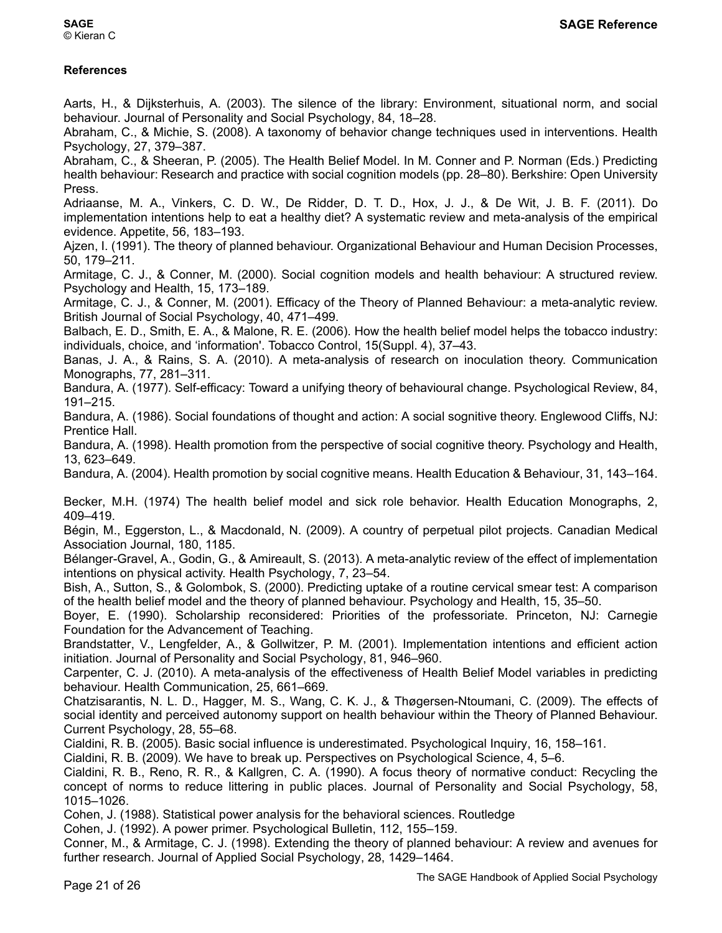# **References**

Aarts, H., & Dijksterhuis, A. (2003). The silence of the library: Environment, situational norm, and social behaviour. Journal of Personality and Social Psychology, 84, 18–28.

Abraham, C., & Michie, S. (2008). A taxonomy of behavior change techniques used in interventions. Health Psychology, 27, 379–387.

Abraham, C., & Sheeran, P. (2005). The Health Belief Model. In M. Conner and P. Norman (Eds.) Predicting health behaviour: Research and practice with social cognition models (pp. 28–80). Berkshire: Open University Press.

Adriaanse, M. A., Vinkers, C. D. W., De Ridder, D. T. D., Hox, J. J., & De Wit, J. B. F. (2011). Do implementation intentions help to eat a healthy diet? A systematic review and meta-analysis of the empirical evidence. Appetite, 56, 183–193.

Ajzen, I. (1991). The theory of planned behaviour. Organizational Behaviour and Human Decision Processes, 50, 179–211.

Armitage, C. J., & Conner, M. (2000). Social cognition models and health behaviour: A structured review. Psychology and Health, 15, 173–189.

Armitage, C. J., & Conner, M. (2001). Efficacy of the Theory of Planned Behaviour: a meta-analytic review. British Journal of Social Psychology, 40, 471–499.

Balbach, E. D., Smith, E. A., & Malone, R. E. (2006). How the health belief model helps the tobacco industry: individuals, choice, and 'information'. Tobacco Control, 15(Suppl. 4), 37–43.

Banas, J. A., & Rains, S. A. (2010). A meta-analysis of research on inoculation theory. Communication Monographs, 77, 281–311.

Bandura, A. (1977). Self-efficacy: Toward a unifying theory of behavioural change. Psychological Review, 84, 191–215.

Bandura, A. (1986). Social foundations of thought and action: A social sognitive theory. Englewood Cliffs, NJ: Prentice Hall.

Bandura, A. (1998). Health promotion from the perspective of social cognitive theory. Psychology and Health, 13, 623–649.

Bandura, A. (2004). Health promotion by social cognitive means. Health Education & Behaviour, 31, 143–164.

Becker, M.H. (1974) The health belief model and sick role behavior. Health Education Monographs, 2, 409–419.

Bégin, M., Eggerston, L., & Macdonald, N. (2009). A country of perpetual pilot projects. Canadian Medical Association Journal, 180, 1185.

Bélanger-Gravel, A., Godin, G., & Amireault, S. (2013). A meta-analytic review of the effect of implementation intentions on physical activity. Health Psychology, 7, 23–54.

Bish, A., Sutton, S., & Golombok, S. (2000). Predicting uptake of a routine cervical smear test: A comparison of the health belief model and the theory of planned behaviour. Psychology and Health, 15, 35–50.

Boyer, E. (1990). Scholarship reconsidered: Priorities of the professoriate. Princeton, NJ: Carnegie Foundation for the Advancement of Teaching.

Brandstatter, V., Lengfelder, A., & Gollwitzer, P. M. (2001). Implementation intentions and efficient action initiation. Journal of Personality and Social Psychology, 81, 946–960.

Carpenter, C. J. (2010). A meta-analysis of the effectiveness of Health Belief Model variables in predicting behaviour. Health Communication, 25, 661–669.

Chatzisarantis, N. L. D., Hagger, M. S., Wang, C. K. J., & Thøgersen-Ntoumani, C. (2009). The effects of social identity and perceived autonomy support on health behaviour within the Theory of Planned Behaviour. Current Psychology, 28, 55–68.

Cialdini, R. B. (2005). Basic social influence is underestimated. Psychological Inquiry, 16, 158–161.

Cialdini, R. B. (2009). We have to break up. Perspectives on Psychological Science, 4, 5–6.

Cialdini, R. B., Reno, R. R., & Kallgren, C. A. (1990). A focus theory of normative conduct: Recycling the concept of norms to reduce littering in public places. Journal of Personality and Social Psychology, 58, 1015–1026.

Cohen, J. (1988). Statistical power analysis for the behavioral sciences. Routledge

Cohen, J. (1992). A power primer. Psychological Bulletin, 112, 155–159.

Conner, M., & Armitage, C. J. (1998). Extending the theory of planned behaviour: A review and avenues for further research. Journal of Applied Social Psychology, 28, 1429–1464.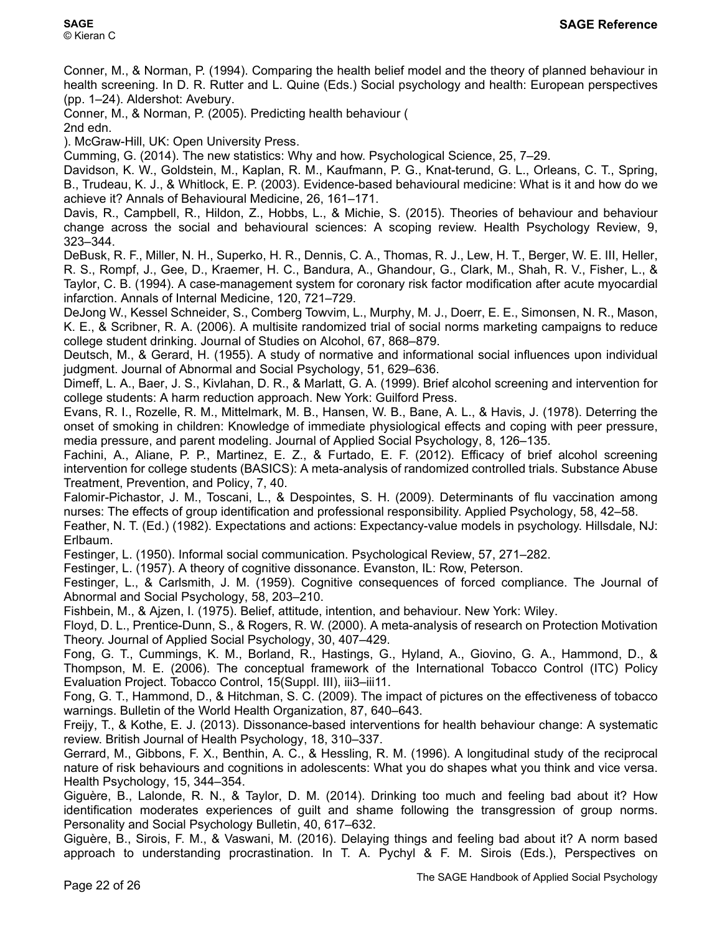Conner, M., & Norman, P. (1994). Comparing the health belief model and the theory of planned behaviour in health screening. In D. R. Rutter and L. Quine (Eds.) Social psychology and health: European perspectives (pp. 1–24). Aldershot: Avebury.

Conner, M., & Norman, P. (2005). Predicting health behaviour ( 2nd edn.

). McGraw-Hill, UK: Open University Press.

Cumming, G. (2014). The new statistics: Why and how. Psychological Science, 25, 7–29.

Davidson, K. W., Goldstein, M., Kaplan, R. M., Kaufmann, P. G., Knat-terund, G. L., Orleans, C. T., Spring, B., Trudeau, K. J., & Whitlock, E. P. (2003). Evidence-based behavioural medicine: What is it and how do we achieve it? Annals of Behavioural Medicine, 26, 161–171.

Davis, R., Campbell, R., Hildon, Z., Hobbs, L., & Michie, S. (2015). Theories of behaviour and behaviour change across the social and behavioural sciences: A scoping review. Health Psychology Review, 9, 323–344.

DeBusk, R. F., Miller, N. H., Superko, H. R., Dennis, C. A., Thomas, R. J., Lew, H. T., Berger, W. E. III, Heller, R. S., Rompf, J., Gee, D., Kraemer, H. C., Bandura, A., Ghandour, G., Clark, M., Shah, R. V., Fisher, L., & Taylor, C. B. (1994). A case-management system for coronary risk factor modification after acute myocardial infarction. Annals of Internal Medicine, 120, 721–729.

DeJong W., Kessel Schneider, S., Comberg Towvim, L., Murphy, M. J., Doerr, E. E., Simonsen, N. R., Mason, K. E., & Scribner, R. A. (2006). A multisite randomized trial of social norms marketing campaigns to reduce college student drinking. Journal of Studies on Alcohol, 67, 868–879.

Deutsch, M., & Gerard, H. (1955). A study of normative and informational social influences upon individual judgment. Journal of Abnormal and Social Psychology, 51, 629–636.

Dimeff, L. A., Baer, J. S., Kivlahan, D. R., & Marlatt, G. A. (1999). Brief alcohol screening and intervention for college students: A harm reduction approach. New York: Guilford Press.

Evans, R. I., Rozelle, R. M., Mittelmark, M. B., Hansen, W. B., Bane, A. L., & Havis, J. (1978). Deterring the onset of smoking in children: Knowledge of immediate physiological effects and coping with peer pressure, media pressure, and parent modeling. Journal of Applied Social Psychology, 8, 126–135.

Fachini, A., Aliane, P. P., Martinez, E. Z., & Furtado, E. F. (2012). Efficacy of brief alcohol screening intervention for college students (BASICS): A meta-analysis of randomized controlled trials. Substance Abuse Treatment, Prevention, and Policy, 7, 40.

Falomir-Pichastor, J. M., Toscani, L., & Despointes, S. H. (2009). Determinants of flu vaccination among nurses: The effects of group identification and professional responsibility. Applied Psychology, 58, 42–58.

Feather, N. T. (Ed.) (1982). Expectations and actions: Expectancy-value models in psychology. Hillsdale, NJ: Erlbaum.

Festinger, L. (1950). Informal social communication. Psychological Review, 57, 271–282.

Festinger, L. (1957). A theory of cognitive dissonance. Evanston, IL: Row, Peterson.

Festinger, L., & Carlsmith, J. M. (1959). Cognitive consequences of forced compliance. The Journal of Abnormal and Social Psychology, 58, 203–210.

Fishbein, M., & Ajzen, I. (1975). Belief, attitude, intention, and behaviour. New York: Wiley.

Floyd, D. L., Prentice-Dunn, S., & Rogers, R. W. (2000). A meta-analysis of research on Protection Motivation Theory. Journal of Applied Social Psychology, 30, 407–429.

Fong, G. T., Cummings, K. M., Borland, R., Hastings, G., Hyland, A., Giovino, G. A., Hammond, D., & Thompson, M. E. (2006). The conceptual framework of the International Tobacco Control (ITC) Policy Evaluation Project. Tobacco Control, 15(Suppl. III), iii3–iii11.

Fong, G. T., Hammond, D., & Hitchman, S. C. (2009). The impact of pictures on the effectiveness of tobacco warnings. Bulletin of the World Health Organization, 87, 640–643.

Freijy, T., & Kothe, E. J. (2013). Dissonance-based interventions for health behaviour change: A systematic review. British Journal of Health Psychology, 18, 310–337.

Gerrard, M., Gibbons, F. X., Benthin, A. C., & Hessling, R. M. (1996). A longitudinal study of the reciprocal nature of risk behaviours and cognitions in adolescents: What you do shapes what you think and vice versa. Health Psychology, 15, 344–354.

Giguère, B., Lalonde, R. N., & Taylor, D. M. (2014). Drinking too much and feeling bad about it? How identification moderates experiences of guilt and shame following the transgression of group norms. Personality and Social Psychology Bulletin, 40, 617–632.

Giguère, B., Sirois, F. M., & Vaswani, M. (2016). Delaying things and feeling bad about it? A norm based approach to understanding procrastination. In T. A. Pychyl & F. M. Sirois (Eds.), Perspectives on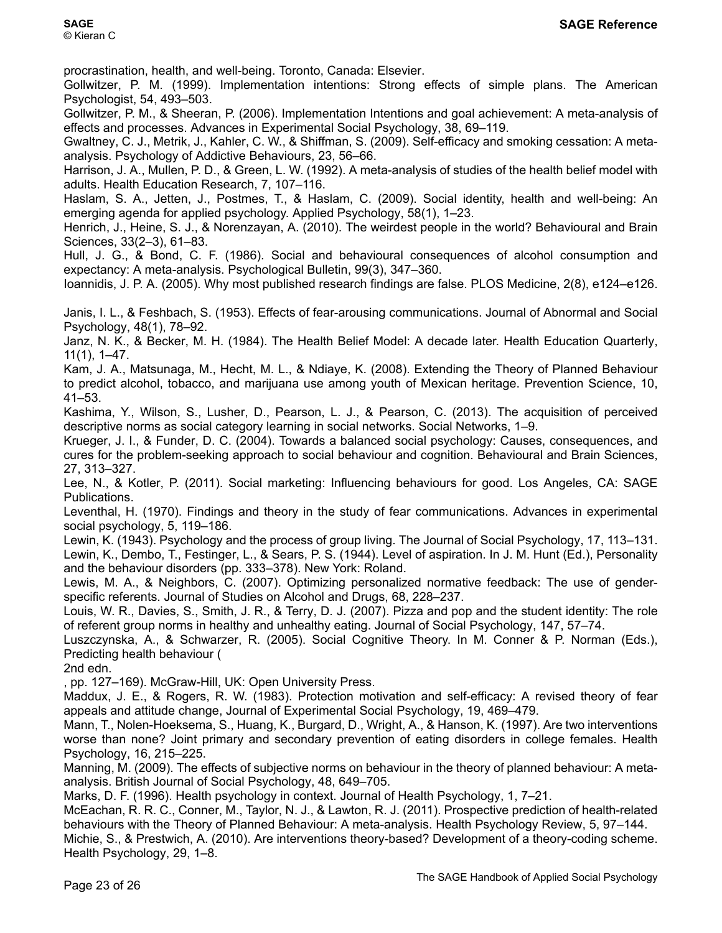procrastination, health, and well-being. Toronto, Canada: Elsevier.

Gollwitzer, P. M. (1999). Implementation intentions: Strong effects of simple plans. The American Psychologist, 54, 493–503.

Gollwitzer, P. M., & Sheeran, P. (2006). Implementation Intentions and goal achievement: A meta-analysis of effects and processes. Advances in Experimental Social Psychology, 38, 69–119.

Gwaltney, C. J., Metrik, J., Kahler, C. W., & Shiffman, S. (2009). Self-efficacy and smoking cessation: A metaanalysis. Psychology of Addictive Behaviours, 23, 56–66.

Harrison, J. A., Mullen, P. D., & Green, L. W. (1992). A meta-analysis of studies of the health belief model with adults. Health Education Research, 7, 107–116.

Haslam, S. A., Jetten, J., Postmes, T., & Haslam, C. (2009). Social identity, health and well-being: An emerging agenda for applied psychology. Applied Psychology, 58(1), 1–23.

Henrich, J., Heine, S. J., & Norenzayan, A. (2010). The weirdest people in the world? Behavioural and Brain Sciences, 33(2–3), 61–83.

Hull, J. G., & Bond, C. F. (1986). Social and behavioural consequences of alcohol consumption and expectancy: A meta-analysis. Psychological Bulletin, 99(3), 347–360.

Ioannidis, J. P. A. (2005). Why most published research findings are false. PLOS Medicine, 2(8), e124–e126.

Janis, I. L., & Feshbach, S. (1953). Effects of fear-arousing communications. Journal of Abnormal and Social Psychology, 48(1), 78–92.

Janz, N. K., & Becker, M. H. (1984). The Health Belief Model: A decade later. Health Education Quarterly, 11(1), 1–47.

Kam, J. A., Matsunaga, M., Hecht, M. L., & Ndiaye, K. (2008). Extending the Theory of Planned Behaviour to predict alcohol, tobacco, and marijuana use among youth of Mexican heritage. Prevention Science, 10, 41–53.

Kashima, Y., Wilson, S., Lusher, D., Pearson, L. J., & Pearson, C. (2013). The acquisition of perceived descriptive norms as social category learning in social networks. Social Networks, 1–9.

Krueger, J. I., & Funder, D. C. (2004). Towards a balanced social psychology: Causes, consequences, and cures for the problem-seeking approach to social behaviour and cognition. Behavioural and Brain Sciences, 27, 313–327.

Lee, N., & Kotler, P. (2011). Social marketing: Influencing behaviours for good. Los Angeles, CA: SAGE Publications.

Leventhal, H. (1970). Findings and theory in the study of fear communications. Advances in experimental social psychology, 5, 119–186.

Lewin, K. (1943). Psychology and the process of group living. The Journal of Social Psychology, 17, 113–131. Lewin, K., Dembo, T., Festinger, L., & Sears, P. S. (1944). Level of aspiration. In J. M. Hunt (Ed.), Personality and the behaviour disorders (pp. 333–378). New York: Roland.

Lewis, M. A., & Neighbors, C. (2007). Optimizing personalized normative feedback: The use of genderspecific referents. Journal of Studies on Alcohol and Drugs, 68, 228–237.

Louis, W. R., Davies, S., Smith, J. R., & Terry, D. J. (2007). Pizza and pop and the student identity: The role of referent group norms in healthy and unhealthy eating. Journal of Social Psychology, 147, 57–74.

Luszczynska, A., & Schwarzer, R. (2005). Social Cognitive Theory. In M. Conner & P. Norman (Eds.), Predicting health behaviour (

2nd edn.

, pp. 127–169). McGraw-Hill, UK: Open University Press.

Maddux, J. E., & Rogers, R. W. (1983). Protection motivation and self-efficacy: A revised theory of fear appeals and attitude change, Journal of Experimental Social Psychology, 19, 469–479.

Mann, T., Nolen-Hoeksema, S., Huang, K., Burgard, D., Wright, A., & Hanson, K. (1997). Are two interventions worse than none? Joint primary and secondary prevention of eating disorders in college females. Health Psychology, 16, 215–225.

Manning, M. (2009). The effects of subjective norms on behaviour in the theory of planned behaviour: A metaanalysis. British Journal of Social Psychology, 48, 649–705.

Marks, D. F. (1996). Health psychology in context. Journal of Health Psychology, 1, 7–21.

McEachan, R. R. C., Conner, M., Taylor, N. J., & Lawton, R. J. (2011). Prospective prediction of health-related behaviours with the Theory of Planned Behaviour: A meta-analysis. Health Psychology Review, 5, 97–144.

Michie, S., & Prestwich, A. (2010). Are interventions theory-based? Development of a theory-coding scheme. Health Psychology, 29, 1–8.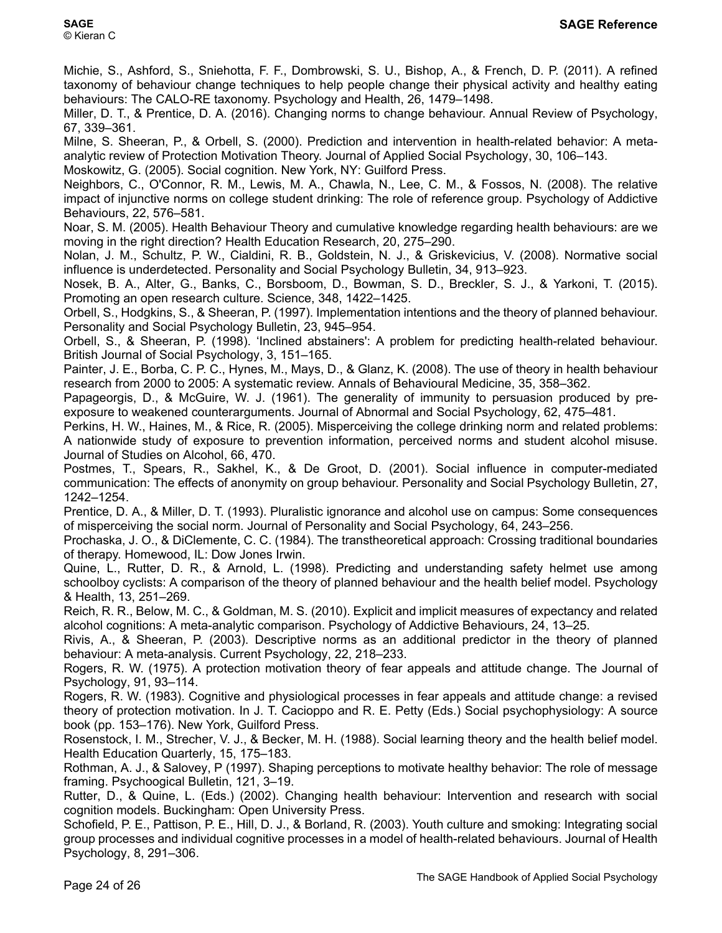Michie, S., Ashford, S., Sniehotta, F. F., Dombrowski, S. U., Bishop, A., & French, D. P. (2011). A refined taxonomy of behaviour change techniques to help people change their physical activity and healthy eating behaviours: The CALO-RE taxonomy. Psychology and Health, 26, 1479–1498.

Miller, D. T., & Prentice, D. A. (2016). Changing norms to change behaviour. Annual Review of Psychology, 67, 339–361.

Milne, S. Sheeran, P., & Orbell, S. (2000). Prediction and intervention in health-related behavior: A metaanalytic review of Protection Motivation Theory. Journal of Applied Social Psychology, 30, 106–143.

Moskowitz, G. (2005). Social cognition. New York, NY: Guilford Press.

Neighbors, C., O'Connor, R. M., Lewis, M. A., Chawla, N., Lee, C. M., & Fossos, N. (2008). The relative impact of injunctive norms on college student drinking: The role of reference group. Psychology of Addictive Behaviours, 22, 576–581.

Noar, S. M. (2005). Health Behaviour Theory and cumulative knowledge regarding health behaviours: are we moving in the right direction? Health Education Research, 20, 275–290.

Nolan, J. M., Schultz, P. W., Cialdini, R. B., Goldstein, N. J., & Griskevicius, V. (2008). Normative social influence is underdetected. Personality and Social Psychology Bulletin, 34, 913–923.

Nosek, B. A., Alter, G., Banks, C., Borsboom, D., Bowman, S. D., Breckler, S. J., & Yarkoni, T. (2015). Promoting an open research culture. Science, 348, 1422–1425.

Orbell, S., Hodgkins, S., & Sheeran, P. (1997). Implementation intentions and the theory of planned behaviour. Personality and Social Psychology Bulletin, 23, 945–954.

Orbell, S., & Sheeran, P. (1998). 'Inclined abstainers': A problem for predicting health-related behaviour. British Journal of Social Psychology, 3, 151–165.

Painter, J. E., Borba, C. P. C., Hynes, M., Mays, D., & Glanz, K. (2008). The use of theory in health behaviour research from 2000 to 2005: A systematic review. Annals of Behavioural Medicine, 35, 358–362.

Papageorgis, D., & McGuire, W. J. (1961). The generality of immunity to persuasion produced by preexposure to weakened counterarguments. Journal of Abnormal and Social Psychology, 62, 475–481.

Perkins, H. W., Haines, M., & Rice, R. (2005). Misperceiving the college drinking norm and related problems: A nationwide study of exposure to prevention information, perceived norms and student alcohol misuse. Journal of Studies on Alcohol, 66, 470.

Postmes, T., Spears, R., Sakhel, K., & De Groot, D. (2001). Social influence in computer-mediated communication: The effects of anonymity on group behaviour. Personality and Social Psychology Bulletin, 27, 1242–1254.

Prentice, D. A., & Miller, D. T. (1993). Pluralistic ignorance and alcohol use on campus: Some consequences of misperceiving the social norm. Journal of Personality and Social Psychology, 64, 243–256.

Prochaska, J. O., & DiClemente, C. C. (1984). The transtheoretical approach: Crossing traditional boundaries of therapy. Homewood, IL: Dow Jones Irwin.

Quine, L., Rutter, D. R., & Arnold, L. (1998). Predicting and understanding safety helmet use among schoolboy cyclists: A comparison of the theory of planned behaviour and the health belief model. Psychology & Health, 13, 251–269.

Reich, R. R., Below, M. C., & Goldman, M. S. (2010). Explicit and implicit measures of expectancy and related alcohol cognitions: A meta-analytic comparison. Psychology of Addictive Behaviours, 24, 13–25.

Rivis, A., & Sheeran, P. (2003). Descriptive norms as an additional predictor in the theory of planned behaviour: A meta-analysis. Current Psychology, 22, 218–233.

Rogers, R. W. (1975). A protection motivation theory of fear appeals and attitude change. The Journal of Psychology, 91, 93–114.

Rogers, R. W. (1983). Cognitive and physiological processes in fear appeals and attitude change: a revised theory of protection motivation. In J. T. Cacioppo and R. E. Petty (Eds.) Social psychophysiology: A source book (pp. 153–176). New York, Guilford Press.

Rosenstock, I. M., Strecher, V. J., & Becker, M. H. (1988). Social learning theory and the health belief model. Health Education Quarterly, 15, 175–183.

Rothman, A. J., & Salovey, P (1997). Shaping perceptions to motivate healthy behavior: The role of message framing. Psychoogical Bulletin, 121, 3–19.

Rutter, D., & Quine, L. (Eds.) (2002). Changing health behaviour: Intervention and research with social cognition models. Buckingham: Open University Press.

Schofield, P. E., Pattison, P. E., Hill, D. J., & Borland, R. (2003). Youth culture and smoking: Integrating social group processes and individual cognitive processes in a model of health-related behaviours. Journal of Health Psychology, 8, 291–306.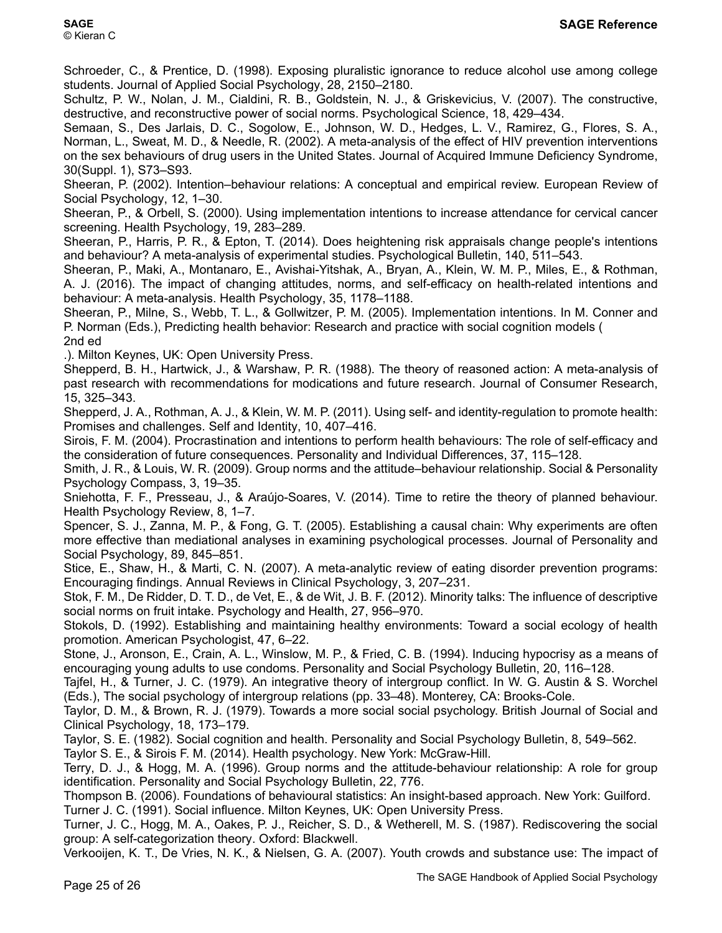Schroeder, C., & Prentice, D. (1998). Exposing pluralistic ignorance to reduce alcohol use among college students. Journal of Applied Social Psychology, 28, 2150–2180.

Schultz, P. W., Nolan, J. M., Cialdini, R. B., Goldstein, N. J., & Griskevicius, V. (2007). The constructive, destructive, and reconstructive power of social norms. Psychological Science, 18, 429–434.

Semaan, S., Des Jarlais, D. C., Sogolow, E., Johnson, W. D., Hedges, L. V., Ramirez, G., Flores, S. A., Norman, L., Sweat, M. D., & Needle, R. (2002). A meta-analysis of the effect of HIV prevention interventions on the sex behaviours of drug users in the United States. Journal of Acquired Immune Deficiency Syndrome, 30(Suppl. 1), S73–S93.

Sheeran, P. (2002). Intention–behaviour relations: A conceptual and empirical review. European Review of Social Psychology, 12, 1–30.

Sheeran, P., & Orbell, S. (2000). Using implementation intentions to increase attendance for cervical cancer screening. Health Psychology, 19, 283–289.

Sheeran, P., Harris, P. R., & Epton, T. (2014). Does heightening risk appraisals change people's intentions and behaviour? A meta-analysis of experimental studies. Psychological Bulletin, 140, 511–543.

Sheeran, P., Maki, A., Montanaro, E., Avishai-Yitshak, A., Bryan, A., Klein, W. M. P., Miles, E., & Rothman, A. J. (2016). The impact of changing attitudes, norms, and self-efficacy on health-related intentions and behaviour: A meta-analysis. Health Psychology, 35, 1178–1188.

Sheeran, P., Milne, S., Webb, T. L., & Gollwitzer, P. M. (2005). Implementation intentions. In M. Conner and P. Norman (Eds.), Predicting health behavior: Research and practice with social cognition models ( 2nd ed

.). Milton Keynes, UK: Open University Press.

Shepperd, B. H., Hartwick, J., & Warshaw, P. R. (1988). The theory of reasoned action: A meta-analysis of past research with recommendations for modications and future research. Journal of Consumer Research, 15, 325–343.

Shepperd, J. A., Rothman, A. J., & Klein, W. M. P. (2011). Using self- and identity-regulation to promote health: Promises and challenges. Self and Identity, 10, 407–416.

Sirois, F. M. (2004). Procrastination and intentions to perform health behaviours: The role of self-efficacy and the consideration of future consequences. Personality and Individual Differences, 37, 115–128.

Smith, J. R., & Louis, W. R. (2009). Group norms and the attitude–behaviour relationship. Social & Personality Psychology Compass, 3, 19–35.

Sniehotta, F. F., Presseau, J., & Araújo-Soares, V. (2014). Time to retire the theory of planned behaviour. Health Psychology Review, 8, 1–7.

Spencer, S. J., Zanna, M. P., & Fong, G. T. (2005). Establishing a causal chain: Why experiments are often more effective than mediational analyses in examining psychological processes. Journal of Personality and Social Psychology, 89, 845–851.

Stice, E., Shaw, H., & Marti, C. N. (2007). A meta-analytic review of eating disorder prevention programs: Encouraging findings. Annual Reviews in Clinical Psychology, 3, 207–231.

Stok, F. M., De Ridder, D. T. D., de Vet, E., & de Wit, J. B. F. (2012). Minority talks: The influence of descriptive social norms on fruit intake. Psychology and Health, 27, 956–970.

Stokols, D. (1992). Establishing and maintaining healthy environments: Toward a social ecology of health promotion. American Psychologist, 47, 6–22.

Stone, J., Aronson, E., Crain, A. L., Winslow, M. P., & Fried, C. B. (1994). Inducing hypocrisy as a means of encouraging young adults to use condoms. Personality and Social Psychology Bulletin, 20, 116–128.

Tajfel, H., & Turner, J. C. (1979). An integrative theory of intergroup conflict. In W. G. Austin & S. Worchel (Eds.), The social psychology of intergroup relations (pp. 33–48). Monterey, CA: Brooks-Cole.

Taylor, D. M., & Brown, R. J. (1979). Towards a more social social psychology. British Journal of Social and Clinical Psychology, 18, 173–179.

Taylor, S. E. (1982). Social cognition and health. Personality and Social Psychology Bulletin, 8, 549–562.

Taylor S. E., & Sirois F. M. (2014). Health psychology. New York: McGraw-Hill.

Terry, D. J., & Hogg, M. A. (1996). Group norms and the attitude-behaviour relationship: A role for group identification. Personality and Social Psychology Bulletin, 22, 776.

Thompson B. (2006). Foundations of behavioural statistics: An insight-based approach. New York: Guilford. Turner J. C. (1991). Social influence. Milton Keynes, UK: Open University Press.

Turner, J. C., Hogg, M. A., Oakes, P. J., Reicher, S. D., & Wetherell, M. S. (1987). Rediscovering the social group: A self-categorization theory. Oxford: Blackwell.

Verkooijen, K. T., De Vries, N. K., & Nielsen, G. A. (2007). Youth crowds and substance use: The impact of